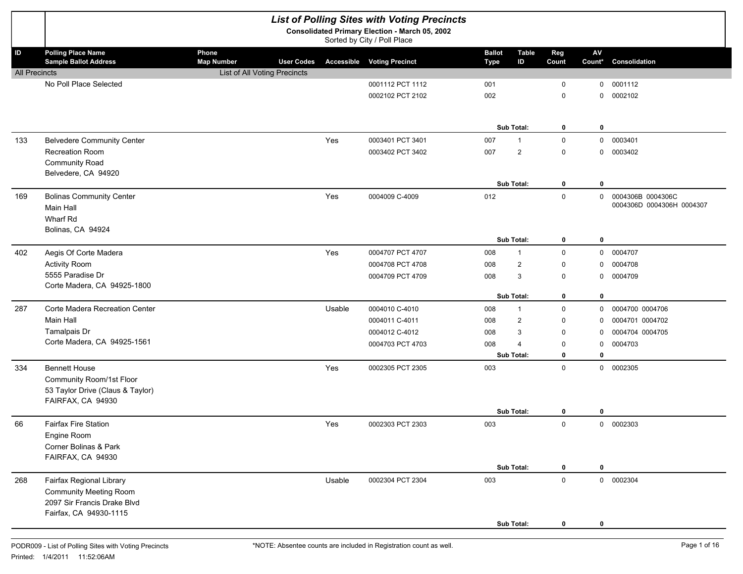|                      | <b>List of Polling Sites with Voting Precincts</b>                                                                 |                              |                   |        |                                                                               |                              |                    |              |                      |                                                |  |  |
|----------------------|--------------------------------------------------------------------------------------------------------------------|------------------------------|-------------------|--------|-------------------------------------------------------------------------------|------------------------------|--------------------|--------------|----------------------|------------------------------------------------|--|--|
|                      |                                                                                                                    |                              |                   |        | Consolidated Primary Election - March 05, 2002<br>Sorted by City / Poll Place |                              |                    |              |                      |                                                |  |  |
| ID                   | <b>Polling Place Name</b><br><b>Sample Ballot Address</b>                                                          | Phone<br><b>Map Number</b>   | <b>User Codes</b> |        | <b>Accessible Voting Precinct</b>                                             | <b>Ballot</b><br><b>Type</b> | <b>Table</b><br>ID | Reg<br>Count | ${\sf AV}$<br>Count* | Consolidation                                  |  |  |
| <b>All Precincts</b> |                                                                                                                    | List of All Voting Precincts |                   |        |                                                                               |                              |                    |              |                      |                                                |  |  |
|                      | No Poll Place Selected                                                                                             |                              |                   |        | 0001112 PCT 1112                                                              | 001                          |                    | 0            | 0                    | 0001112                                        |  |  |
|                      |                                                                                                                    |                              |                   |        | 0002102 PCT 2102                                                              | 002                          |                    | 0            | 0                    | 0002102                                        |  |  |
|                      |                                                                                                                    |                              |                   |        |                                                                               |                              | <b>Sub Total:</b>  | 0            | 0                    |                                                |  |  |
| 133                  | <b>Belvedere Community Center</b>                                                                                  |                              |                   | Yes    | 0003401 PCT 3401                                                              | 007                          | 1                  | 0            | 0                    | 0003401                                        |  |  |
|                      | Recreation Room<br><b>Community Road</b>                                                                           |                              |                   |        | 0003402 PCT 3402                                                              | 007                          | $\overline{2}$     | 0            | 0                    | 0003402                                        |  |  |
|                      | Belvedere, CA 94920                                                                                                |                              |                   |        |                                                                               |                              | Sub Total:         | 0            | 0                    |                                                |  |  |
| 169                  | <b>Bolinas Community Center</b><br>Main Hall<br>Wharf Rd                                                           |                              |                   | Yes    | 0004009 C-4009                                                                | 012                          |                    | $\mathsf{O}$ | 0                    | 0004306B 0004306C<br>0004306D 0004306H 0004307 |  |  |
|                      | Bolinas, CA 94924                                                                                                  |                              |                   |        |                                                                               |                              | Sub Total:         | 0            | $\mathbf 0$          |                                                |  |  |
| 402                  | Aegis Of Corte Madera                                                                                              |                              |                   | Yes    | 0004707 PCT 4707                                                              | 008                          | 1                  | 0            | 0                    | 0004707                                        |  |  |
|                      | <b>Activity Room</b>                                                                                               |                              |                   |        | 0004708 PCT 4708                                                              | 008                          | $\overline{2}$     | 0            | 0                    | 0004708                                        |  |  |
|                      | 5555 Paradise Dr                                                                                                   |                              |                   |        | 0004709 PCT 4709                                                              | 008                          | 3                  | $\mathbf 0$  | 0                    | 0004709                                        |  |  |
|                      | Corte Madera, CA 94925-1800                                                                                        |                              |                   |        |                                                                               |                              | Sub Total:         | $\bf{0}$     | 0                    |                                                |  |  |
| 287                  | Corte Madera Recreation Center                                                                                     |                              |                   | Usable | 0004010 C-4010                                                                | 008                          | $\mathbf{1}$       | 0            | 0                    | 0004700 0004706                                |  |  |
|                      | Main Hall                                                                                                          |                              |                   |        | 0004011 C-4011                                                                | 008                          | $\overline{2}$     | 0            | 0                    | 0004701 0004702                                |  |  |
|                      | Tamalpais Dr                                                                                                       |                              |                   |        | 0004012 C-4012                                                                | 008                          | 3                  | $\mathbf 0$  | 0                    | 0004704 0004705                                |  |  |
|                      | Corte Madera, CA 94925-1561                                                                                        |                              |                   |        | 0004703 PCT 4703                                                              | 008                          | 4                  | 0            | 0                    | 0004703                                        |  |  |
|                      |                                                                                                                    |                              |                   |        |                                                                               |                              | Sub Total:         | 0            | $\mathbf{0}$         |                                                |  |  |
| 334                  | <b>Bennett House</b><br>Community Room/1st Floor<br>53 Taylor Drive (Claus & Taylor)<br>FAIRFAX, CA 94930          |                              |                   | Yes    | 0002305 PCT 2305                                                              | 003                          |                    | 0            | 0                    | 0002305                                        |  |  |
|                      |                                                                                                                    |                              |                   |        |                                                                               |                              | Sub Total:         | 0            | 0                    |                                                |  |  |
| 66                   | <b>Fairfax Fire Station</b><br>Engine Room<br>Corner Bolinas & Park<br>FAIRFAX, CA 94930                           |                              |                   | Yes    | 0002303 PCT 2303                                                              | 003                          |                    | 0            | 0                    | 0002303                                        |  |  |
|                      |                                                                                                                    |                              |                   |        |                                                                               |                              | Sub Total:         | 0            | 0                    |                                                |  |  |
| 268                  | Fairfax Regional Library<br><b>Community Meeting Room</b><br>2097 Sir Francis Drake Blvd<br>Fairfax, CA 94930-1115 |                              |                   | Usable | 0002304 PCT 2304                                                              | 003                          |                    | $\mathsf 0$  |                      | 0 0002304                                      |  |  |
|                      |                                                                                                                    |                              |                   |        |                                                                               |                              | Sub Total:         | 0            | 0                    |                                                |  |  |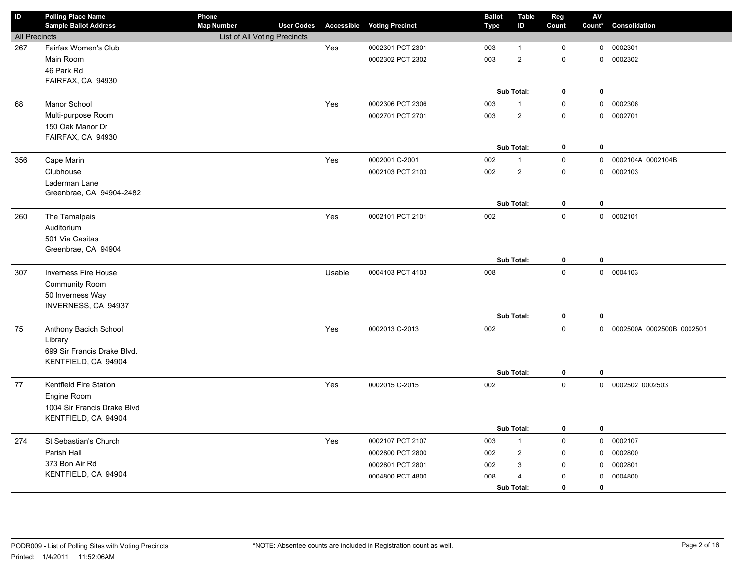| $\mathsf{ID}$        | <b>Polling Place Name</b><br><b>Sample Ballot Address</b> | Phone<br><b>Map Number</b>   | <b>User Codes</b> |        | <b>Accessible Voting Precinct</b> | <b>Ballot</b><br><b>Type</b> | <b>Table</b><br>ID | Reg<br>Count | AV<br>Count* | Consolidation               |
|----------------------|-----------------------------------------------------------|------------------------------|-------------------|--------|-----------------------------------|------------------------------|--------------------|--------------|--------------|-----------------------------|
| <b>All Precincts</b> |                                                           | List of All Voting Precincts |                   |        |                                   |                              |                    |              |              |                             |
| 267                  | Fairfax Women's Club                                      |                              |                   | Yes    | 0002301 PCT 2301                  | 003                          | $\mathbf{1}$       | 0            | $\mathsf{O}$ | 0002301                     |
|                      | Main Room                                                 |                              |                   |        | 0002302 PCT 2302                  | 003                          | $\overline{2}$     | 0            | $\mathbf 0$  | 0002302                     |
|                      | 46 Park Rd                                                |                              |                   |        |                                   |                              |                    |              |              |                             |
|                      | FAIRFAX, CA 94930                                         |                              |                   |        |                                   |                              |                    |              |              |                             |
|                      |                                                           |                              |                   |        |                                   |                              | Sub Total:         | $\pmb{0}$    | $\bf{0}$     |                             |
| 68                   | Manor School                                              |                              |                   | Yes    | 0002306 PCT 2306                  | 003                          | $\mathbf{1}$       | $\mathsf 0$  |              | 0 0002306                   |
|                      | Multi-purpose Room                                        |                              |                   |        | 0002701 PCT 2701                  | 003                          | $\overline{2}$     | $\mathsf 0$  |              | 0 0002701                   |
|                      | 150 Oak Manor Dr                                          |                              |                   |        |                                   |                              |                    |              |              |                             |
|                      | FAIRFAX, CA 94930                                         |                              |                   |        |                                   |                              |                    |              |              |                             |
|                      |                                                           |                              |                   |        |                                   |                              | Sub Total:         | $\mathbf 0$  | 0            |                             |
| 356                  | Cape Marin                                                |                              |                   | Yes    | 0002001 C-2001                    | 002                          | $\mathbf{1}$       | $\mathbf 0$  | $\mathbf 0$  | 0002104A 0002104B           |
|                      | Clubhouse                                                 |                              |                   |        | 0002103 PCT 2103                  | 002                          | $\mathbf 2$        | $\mathsf 0$  | 0            | 0002103                     |
|                      | Laderman Lane                                             |                              |                   |        |                                   |                              |                    |              |              |                             |
|                      | Greenbrae, CA 94904-2482                                  |                              |                   |        |                                   |                              | Sub Total:         | $\bf{0}$     | $\mathbf 0$  |                             |
| 260                  | The Tamalpais                                             |                              |                   | Yes    | 0002101 PCT 2101                  | 002                          |                    | $\mathbf 0$  |              | 0 0002101                   |
|                      | Auditorium                                                |                              |                   |        |                                   |                              |                    |              |              |                             |
|                      | 501 Via Casitas                                           |                              |                   |        |                                   |                              |                    |              |              |                             |
|                      | Greenbrae, CA 94904                                       |                              |                   |        |                                   |                              |                    |              |              |                             |
|                      |                                                           |                              |                   |        |                                   |                              | Sub Total:         | $\mathbf 0$  | $\bf{0}$     |                             |
| 307                  | <b>Inverness Fire House</b>                               |                              |                   | Usable | 0004103 PCT 4103                  | 008                          |                    | $\mathbf 0$  |              | 0 0004103                   |
|                      | <b>Community Room</b>                                     |                              |                   |        |                                   |                              |                    |              |              |                             |
|                      | 50 Inverness Way                                          |                              |                   |        |                                   |                              |                    |              |              |                             |
|                      | INVERNESS, CA 94937                                       |                              |                   |        |                                   |                              |                    |              |              |                             |
|                      |                                                           |                              |                   |        |                                   |                              | Sub Total:         | 0            | 0            |                             |
| 75                   | Anthony Bacich School                                     |                              |                   | Yes    | 0002013 C-2013                    | 002                          |                    | $\mathbf 0$  |              | 0 0002500A 0002500B 0002501 |
|                      | Library                                                   |                              |                   |        |                                   |                              |                    |              |              |                             |
|                      | 699 Sir Francis Drake Blvd.                               |                              |                   |        |                                   |                              |                    |              |              |                             |
|                      | KENTFIELD, CA 94904                                       |                              |                   |        |                                   |                              |                    |              | $\mathbf 0$  |                             |
|                      |                                                           |                              |                   |        |                                   |                              | Sub Total:         | $\pmb{0}$    |              |                             |
| 77                   | Kentfield Fire Station                                    |                              |                   | Yes    | 0002015 C-2015                    | 002                          |                    | $\mathbf 0$  |              | 0 0002502 0002503           |
|                      | Engine Room                                               |                              |                   |        |                                   |                              |                    |              |              |                             |
|                      | 1004 Sir Francis Drake Blvd<br>KENTFIELD, CA 94904        |                              |                   |        |                                   |                              |                    |              |              |                             |
|                      |                                                           |                              |                   |        |                                   |                              | Sub Total:         | $\bf{0}$     | $\bf{0}$     |                             |
| 274                  | St Sebastian's Church                                     |                              |                   | Yes    | 0002107 PCT 2107                  | 003                          | $\mathbf{1}$       | $\mathbf 0$  | $\mathsf{O}$ | 0002107                     |
|                      | Parish Hall                                               |                              |                   |        | 0002800 PCT 2800                  | 002                          | $\overline{2}$     | $\mathbf 0$  | $\mathbf 0$  | 0002800                     |
|                      | 373 Bon Air Rd                                            |                              |                   |        | 0002801 PCT 2801                  | 002                          | $\mathbf{3}$       | $\mathbf 0$  | $\mathbf 0$  | 0002801                     |
|                      | KENTFIELD, CA 94904                                       |                              |                   |        | 0004800 PCT 4800                  | 008                          | $\overline{4}$     | $\mathbf 0$  | 0            | 0004800                     |
|                      |                                                           |                              |                   |        |                                   |                              | Sub Total:         | $\mathbf 0$  | $\mathbf 0$  |                             |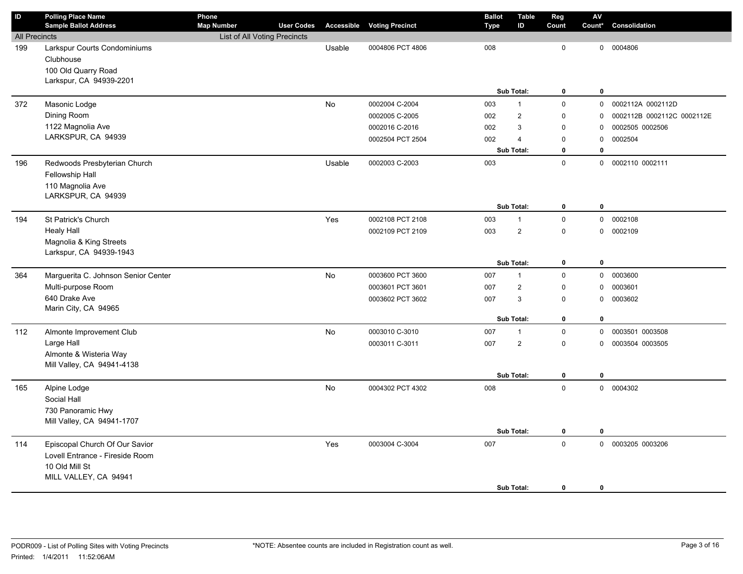| $\mathsf{ID}$        | <b>Polling Place Name</b><br><b>Sample Ballot Address</b> | Phone<br><b>Map Number</b>   | <b>User Codes</b> |           | <b>Accessible Voting Precinct</b> | <b>Ballot</b><br><b>Type</b> | <b>Table</b><br>ID | Reg<br>Count | AV<br>Count*        | Consolidation              |
|----------------------|-----------------------------------------------------------|------------------------------|-------------------|-----------|-----------------------------------|------------------------------|--------------------|--------------|---------------------|----------------------------|
| <b>All Precincts</b> |                                                           | List of All Voting Precincts |                   |           |                                   |                              |                    |              |                     |                            |
| 199                  | Larkspur Courts Condominiums                              |                              |                   | Usable    | 0004806 PCT 4806                  | 008                          |                    | $\mathbf 0$  |                     | 0 0004806                  |
|                      | Clubhouse                                                 |                              |                   |           |                                   |                              |                    |              |                     |                            |
|                      | 100 Old Quarry Road                                       |                              |                   |           |                                   |                              |                    |              |                     |                            |
|                      | Larkspur, CA 94939-2201                                   |                              |                   |           |                                   |                              |                    |              |                     |                            |
|                      |                                                           |                              |                   |           |                                   |                              | Sub Total:         | $\bf{0}$     | $\bf{0}$            |                            |
| 372                  | Masonic Lodge                                             |                              |                   | No        | 0002004 C-2004                    | 003                          | $\mathbf{1}$       | $\mathsf 0$  |                     | 0 0002112A 0002112D        |
|                      | Dining Room                                               |                              |                   |           | 0002005 C-2005                    | 002                          | $\overline{2}$     | $\mathsf 0$  | 0                   | 0002112B 0002112C 0002112E |
|                      | 1122 Magnolia Ave                                         |                              |                   |           | 0002016 C-2016                    | 002                          | 3                  | $\mathbf 0$  | 0                   | 0002505 0002506            |
|                      | LARKSPUR, CA 94939                                        |                              |                   |           | 0002504 PCT 2504                  | 002                          | $\overline{4}$     | 0            | $\mathsf{O}\xspace$ | 0002504                    |
|                      |                                                           |                              |                   |           |                                   |                              | Sub Total:         | 0            | 0                   |                            |
| 196                  | Redwoods Presbyterian Church                              |                              |                   | Usable    | 0002003 C-2003                    | 003                          |                    | $\mathbf 0$  | 0                   | 0002110 0002111            |
|                      | Fellowship Hall                                           |                              |                   |           |                                   |                              |                    |              |                     |                            |
|                      | 110 Magnolia Ave                                          |                              |                   |           |                                   |                              |                    |              |                     |                            |
|                      | LARKSPUR, CA 94939                                        |                              |                   |           |                                   |                              |                    |              |                     |                            |
|                      |                                                           |                              |                   |           |                                   |                              | Sub Total:         | 0            | $\bf{0}$            |                            |
| 194                  | St Patrick's Church                                       |                              |                   | Yes       | 0002108 PCT 2108                  | 003                          | $\mathbf{1}$       | $\pmb{0}$    |                     | 0 0002108                  |
|                      | <b>Healy Hall</b>                                         |                              |                   |           | 0002109 PCT 2109                  | 003                          | $\overline{2}$     | $\mathsf 0$  |                     | 0 0002109                  |
|                      | Magnolia & King Streets<br>Larkspur, CA 94939-1943        |                              |                   |           |                                   |                              |                    |              |                     |                            |
|                      |                                                           |                              |                   |           |                                   |                              | Sub Total:         | $\bf{0}$     | $\bf{0}$            |                            |
| 364                  | Marguerita C. Johnson Senior Center                       |                              |                   | No        | 0003600 PCT 3600                  | 007                          | $\mathbf{1}$       | $\pmb{0}$    | $\mathbf 0$         | 0003600                    |
|                      | Multi-purpose Room                                        |                              |                   |           | 0003601 PCT 3601                  | 007                          | $\overline{2}$     | $\mathsf 0$  | 0                   | 0003601                    |
|                      | 640 Drake Ave                                             |                              |                   |           | 0003602 PCT 3602                  | 007                          | 3                  | $\mathbf 0$  | $\mathbf 0$         | 0003602                    |
|                      | Marin City, CA 94965                                      |                              |                   |           |                                   |                              |                    |              |                     |                            |
|                      |                                                           |                              |                   |           |                                   |                              | Sub Total:         | 0            | 0                   |                            |
| 112                  | Almonte Improvement Club                                  |                              |                   | <b>No</b> | 0003010 C-3010                    | 007                          | $\mathbf{1}$       | $\mathsf 0$  | 0                   | 0003501 0003508            |
|                      | Large Hall                                                |                              |                   |           | 0003011 C-3011                    | 007                          | $\overline{c}$     | $\mathsf 0$  | 0                   | 0003504 0003505            |
|                      | Almonte & Wisteria Way                                    |                              |                   |           |                                   |                              |                    |              |                     |                            |
|                      | Mill Valley, CA 94941-4138                                |                              |                   |           |                                   |                              |                    |              |                     |                            |
|                      |                                                           |                              |                   |           |                                   |                              | Sub Total:         | 0            | $\pmb{0}$           |                            |
| 165                  | Alpine Lodge                                              |                              |                   | No        | 0004302 PCT 4302                  | 008                          |                    | $\mathsf 0$  |                     | 0 0004302                  |
|                      | Social Hall                                               |                              |                   |           |                                   |                              |                    |              |                     |                            |
|                      | 730 Panoramic Hwy                                         |                              |                   |           |                                   |                              |                    |              |                     |                            |
|                      | Mill Valley, CA 94941-1707                                |                              |                   |           |                                   |                              |                    |              |                     |                            |
|                      |                                                           |                              |                   |           |                                   |                              | Sub Total:         | $\mathbf 0$  | $\mathbf 0$         |                            |
| 114                  | Episcopal Church Of Our Savior                            |                              |                   | Yes       | 0003004 C-3004                    | 007                          |                    | $\mathbf 0$  |                     | 0 0003205 0003206          |
|                      | Lovell Entrance - Fireside Room                           |                              |                   |           |                                   |                              |                    |              |                     |                            |
|                      | 10 Old Mill St<br>MILL VALLEY, CA 94941                   |                              |                   |           |                                   |                              |                    |              |                     |                            |
|                      |                                                           |                              |                   |           |                                   |                              | Sub Total:         | $\mathbf{0}$ | $\mathbf 0$         |                            |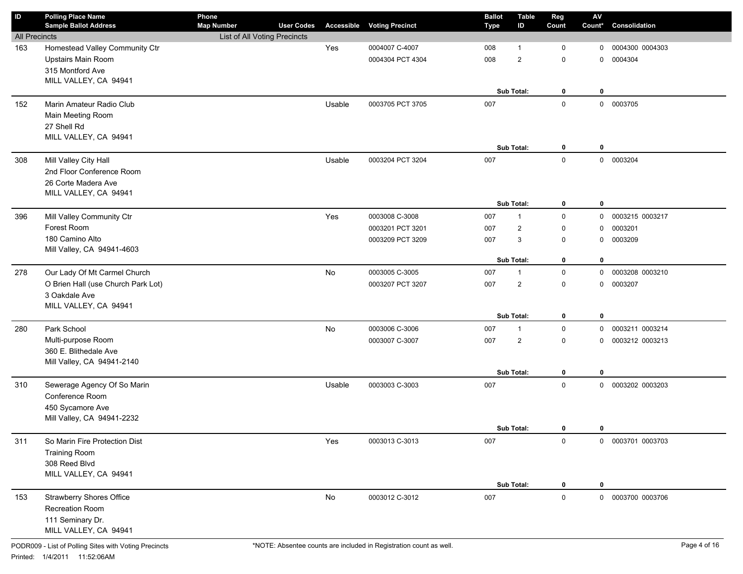| ID                   | <b>Polling Place Name</b><br><b>Sample Ballot Address</b> | Phone<br><b>Map Number</b>   | <b>User Codes</b> |        | <b>Accessible Voting Precinct</b> | <b>Ballot</b><br><b>Type</b> | <b>Table</b><br>ID      | Reg<br>Count | ${\sf AV}$<br>Count* | Consolidation     |
|----------------------|-----------------------------------------------------------|------------------------------|-------------------|--------|-----------------------------------|------------------------------|-------------------------|--------------|----------------------|-------------------|
| <b>All Precincts</b> |                                                           | List of All Voting Precincts |                   |        |                                   |                              |                         |              |                      |                   |
| 163                  | Homestead Valley Community Ctr                            |                              |                   | Yes    | 0004007 C-4007                    | 008                          | 1                       | 0            | 0                    | 0004300 0004303   |
|                      | Upstairs Main Room                                        |                              |                   |        | 0004304 PCT 4304                  | 008                          | $\overline{2}$          | 0            | $\mathbf 0$          | 0004304           |
|                      | 315 Montford Ave                                          |                              |                   |        |                                   |                              |                         |              |                      |                   |
|                      | MILL VALLEY, CA 94941                                     |                              |                   |        |                                   |                              |                         |              |                      |                   |
|                      |                                                           |                              |                   |        |                                   |                              | Sub Total:              | 0            | $\mathbf 0$          |                   |
| 152                  | Marin Amateur Radio Club                                  |                              |                   | Usable | 0003705 PCT 3705                  | 007                          |                         | $\mathsf 0$  |                      | 0 0003705         |
|                      | Main Meeting Room                                         |                              |                   |        |                                   |                              |                         |              |                      |                   |
|                      | 27 Shell Rd                                               |                              |                   |        |                                   |                              |                         |              |                      |                   |
|                      | MILL VALLEY, CA 94941                                     |                              |                   |        |                                   |                              |                         |              |                      |                   |
|                      |                                                           |                              |                   |        |                                   |                              | Sub Total:              | 0            | $\mathbf 0$          |                   |
| 308                  | Mill Valley City Hall                                     |                              |                   | Usable | 0003204 PCT 3204                  | 007                          |                         | $\mathbf 0$  | $\mathsf{O}$         | 0003204           |
|                      | 2nd Floor Conference Room                                 |                              |                   |        |                                   |                              |                         |              |                      |                   |
|                      | 26 Corte Madera Ave                                       |                              |                   |        |                                   |                              |                         |              |                      |                   |
|                      | MILL VALLEY, CA 94941                                     |                              |                   |        |                                   |                              |                         |              |                      |                   |
|                      |                                                           |                              |                   |        |                                   |                              | Sub Total:              | 0            | $\mathbf 0$          |                   |
| 396                  | Mill Valley Community Ctr                                 |                              |                   | Yes    | 0003008 C-3008                    | 007                          | $\mathbf{1}$            | $\mathbf 0$  | 0                    | 0003215 0003217   |
|                      | Forest Room                                               |                              |                   |        | 0003201 PCT 3201                  | 007                          | $\overline{\mathbf{c}}$ | $\Omega$     | $\mathbf 0$          | 0003201           |
|                      | 180 Camino Alto                                           |                              |                   |        | 0003209 PCT 3209                  | 007                          | $\mathsf 3$             | $\mathbf 0$  | $\mathbf 0$          | 0003209           |
|                      | Mill Valley, CA 94941-4603                                |                              |                   |        |                                   |                              |                         |              |                      |                   |
|                      |                                                           |                              |                   |        |                                   |                              | Sub Total:              | 0            | $\mathbf 0$          |                   |
| 278                  | Our Lady Of Mt Carmel Church                              |                              |                   | No     | 0003005 C-3005                    | 007                          | $\mathbf{1}$            | $\mathsf 0$  | $\mathbf 0$          | 0003208 0003210   |
|                      | O Brien Hall (use Church Park Lot)                        |                              |                   |        | 0003207 PCT 3207                  | 007                          | $\overline{2}$          | 0            | $\mathbf 0$          | 0003207           |
|                      | 3 Oakdale Ave                                             |                              |                   |        |                                   |                              |                         |              |                      |                   |
|                      | MILL VALLEY, CA 94941                                     |                              |                   |        |                                   |                              | Sub Total:              | 0            | $\mathbf 0$          |                   |
|                      |                                                           |                              |                   |        |                                   |                              |                         |              |                      |                   |
| 280                  | Park School                                               |                              |                   | No     | 0003006 C-3006                    | 007                          | $\mathbf{1}$            | $\mathsf 0$  | 0                    | 0003211 0003214   |
|                      | Multi-purpose Room<br>360 E. Blithedale Ave               |                              |                   |        | 0003007 C-3007                    | 007                          | $\overline{2}$          | 0            | 0                    | 0003212 0003213   |
|                      | Mill Valley, CA 94941-2140                                |                              |                   |        |                                   |                              |                         |              |                      |                   |
|                      |                                                           |                              |                   |        |                                   |                              | Sub Total:              | 0            | $\mathbf 0$          |                   |
| 310                  | Sewerage Agency Of So Marin                               |                              |                   | Usable | 0003003 C-3003                    | 007                          |                         | $\mathbf 0$  | 0                    | 0003202 0003203   |
|                      | Conference Room                                           |                              |                   |        |                                   |                              |                         |              |                      |                   |
|                      | 450 Sycamore Ave                                          |                              |                   |        |                                   |                              |                         |              |                      |                   |
|                      | Mill Valley, CA 94941-2232                                |                              |                   |        |                                   |                              |                         |              |                      |                   |
|                      |                                                           |                              |                   |        |                                   |                              | Sub Total:              | $\mathbf 0$  | 0                    |                   |
| 311                  | So Marin Fire Protection Dist                             |                              |                   | Yes    | 0003013 C-3013                    | 007                          |                         | $\mathbf 0$  |                      | 0 0003701 0003703 |
|                      | <b>Training Room</b>                                      |                              |                   |        |                                   |                              |                         |              |                      |                   |
|                      | 308 Reed Blvd                                             |                              |                   |        |                                   |                              |                         |              |                      |                   |
|                      | MILL VALLEY, CA 94941                                     |                              |                   |        |                                   |                              |                         |              |                      |                   |
|                      |                                                           |                              |                   |        |                                   |                              | Sub Total:              | 0            | 0                    |                   |
| 153                  | <b>Strawberry Shores Office</b>                           |                              |                   | No     | 0003012 C-3012                    | 007                          |                         | $\mathbf 0$  |                      | 0 0003700 0003706 |
|                      | Recreation Room                                           |                              |                   |        |                                   |                              |                         |              |                      |                   |
|                      | 111 Seminary Dr.                                          |                              |                   |        |                                   |                              |                         |              |                      |                   |
|                      | MILL VALLEY, CA 94941                                     |                              |                   |        |                                   |                              |                         |              |                      |                   |
|                      |                                                           |                              |                   |        |                                   |                              |                         |              |                      |                   |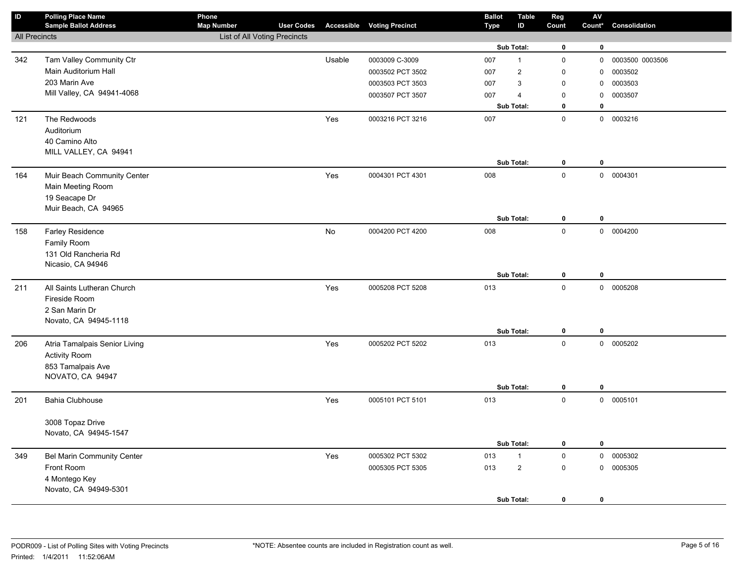| $\sf ID$             | <b>Polling Place Name</b><br><b>Sample Ballot Address</b> | Phone<br><b>Map Number</b>   | <b>User Codes</b> |        | <b>Accessible Voting Precinct</b> | <b>Ballot</b><br><b>Type</b> | <b>Table</b><br>ID | Reg<br>Count        | $\mathbf{A}\mathbf{V}$<br>Count* | Consolidation   |
|----------------------|-----------------------------------------------------------|------------------------------|-------------------|--------|-----------------------------------|------------------------------|--------------------|---------------------|----------------------------------|-----------------|
| <b>All Precincts</b> |                                                           | List of All Voting Precincts |                   |        |                                   |                              |                    |                     |                                  |                 |
|                      |                                                           |                              |                   |        |                                   |                              | Sub Total:         | $\mathbf 0$         | $\mathbf 0$                      |                 |
| 342                  | Tam Valley Community Ctr                                  |                              |                   | Usable | 0003009 C-3009                    | 007                          | $\mathbf{1}$       | $\mathsf 0$         | 0                                | 0003500 0003506 |
|                      | Main Auditorium Hall                                      |                              |                   |        | 0003502 PCT 3502                  | 007                          | $\overline{2}$     | $\mathbf 0$         | $\mathbf 0$                      | 0003502         |
|                      | 203 Marin Ave                                             |                              |                   |        | 0003503 PCT 3503                  | 007                          | 3                  | $\mathbf 0$         | $\mathbf 0$                      | 0003503         |
|                      | Mill Valley, CA 94941-4068                                |                              |                   |        | 0003507 PCT 3507                  | 007                          | $\overline{4}$     | $\mathbf 0$         | $\mathbf 0$                      | 0003507         |
|                      |                                                           |                              |                   |        |                                   |                              | Sub Total:         | 0                   | $\mathbf 0$                      |                 |
| 121                  | The Redwoods                                              |                              |                   | Yes    | 0003216 PCT 3216                  | 007                          |                    | $\mathsf 0$         |                                  | 0 0003216       |
|                      | Auditorium                                                |                              |                   |        |                                   |                              |                    |                     |                                  |                 |
|                      | 40 Camino Alto                                            |                              |                   |        |                                   |                              |                    |                     |                                  |                 |
|                      | MILL VALLEY, CA 94941                                     |                              |                   |        |                                   |                              |                    |                     |                                  |                 |
|                      |                                                           |                              |                   |        |                                   |                              | Sub Total:         | 0                   | $\mathbf 0$                      |                 |
| 164                  | Muir Beach Community Center                               |                              |                   | Yes    | 0004301 PCT 4301                  | 008                          |                    | $\mathsf 0$         |                                  | 0 0004301       |
|                      | Main Meeting Room                                         |                              |                   |        |                                   |                              |                    |                     |                                  |                 |
|                      | 19 Seacape Dr                                             |                              |                   |        |                                   |                              |                    |                     |                                  |                 |
|                      | Muir Beach, CA 94965                                      |                              |                   |        |                                   |                              |                    |                     |                                  |                 |
|                      |                                                           |                              |                   |        |                                   |                              | Sub Total:         | $\mathbf 0$         | $\mathbf 0$                      |                 |
| 158                  | Farley Residence                                          |                              |                   | No     | 0004200 PCT 4200                  | 008                          |                    | $\mathsf 0$         |                                  | 0 0004200       |
|                      | Family Room<br>131 Old Rancheria Rd                       |                              |                   |        |                                   |                              |                    |                     |                                  |                 |
|                      | Nicasio, CA 94946                                         |                              |                   |        |                                   |                              |                    |                     |                                  |                 |
|                      |                                                           |                              |                   |        |                                   |                              | Sub Total:         | $\mathbf 0$         | $\mathbf 0$                      |                 |
| 211                  | All Saints Lutheran Church                                |                              |                   | Yes    | 0005208 PCT 5208                  | 013                          |                    | $\mathbf 0$         |                                  | 0 0005208       |
|                      | Fireside Room                                             |                              |                   |        |                                   |                              |                    |                     |                                  |                 |
|                      | 2 San Marin Dr                                            |                              |                   |        |                                   |                              |                    |                     |                                  |                 |
|                      | Novato, CA 94945-1118                                     |                              |                   |        |                                   |                              |                    |                     |                                  |                 |
|                      |                                                           |                              |                   |        |                                   |                              | Sub Total:         | $\mathbf 0$         | $\mathbf 0$                      |                 |
| 206                  | Atria Tamalpais Senior Living                             |                              |                   | Yes    | 0005202 PCT 5202                  | 013                          |                    | $\mathsf 0$         |                                  | 0 0005202       |
|                      | <b>Activity Room</b>                                      |                              |                   |        |                                   |                              |                    |                     |                                  |                 |
|                      | 853 Tamalpais Ave                                         |                              |                   |        |                                   |                              |                    |                     |                                  |                 |
|                      | NOVATO, CA 94947                                          |                              |                   |        |                                   |                              | Sub Total:         |                     | $\mathbf 0$                      |                 |
|                      |                                                           |                              |                   |        |                                   |                              |                    | 0                   |                                  |                 |
| 201                  | <b>Bahia Clubhouse</b>                                    |                              |                   | Yes    | 0005101 PCT 5101                  | 013                          |                    | $\mathsf{O}\xspace$ |                                  | 0 0005101       |
|                      | 3008 Topaz Drive                                          |                              |                   |        |                                   |                              |                    |                     |                                  |                 |
|                      | Novato, CA 94945-1547                                     |                              |                   |        |                                   |                              |                    |                     |                                  |                 |
|                      |                                                           |                              |                   |        |                                   |                              | Sub Total:         | $\mathbf 0$         | $\mathbf 0$                      |                 |
| 349                  | Bel Marin Community Center                                |                              |                   | Yes    | 0005302 PCT 5302                  | 013                          | $\mathbf{1}$       | $\mathsf 0$         |                                  | 0 0005302       |
|                      | Front Room                                                |                              |                   |        | 0005305 PCT 5305                  | 013                          | $\overline{a}$     | $\mathsf 0$         |                                  | 0 0005305       |
|                      | 4 Montego Key                                             |                              |                   |        |                                   |                              |                    |                     |                                  |                 |
|                      | Novato, CA 94949-5301                                     |                              |                   |        |                                   |                              |                    |                     |                                  |                 |
|                      |                                                           |                              |                   |        |                                   |                              | Sub Total:         | $\mathbf 0$         | 0                                |                 |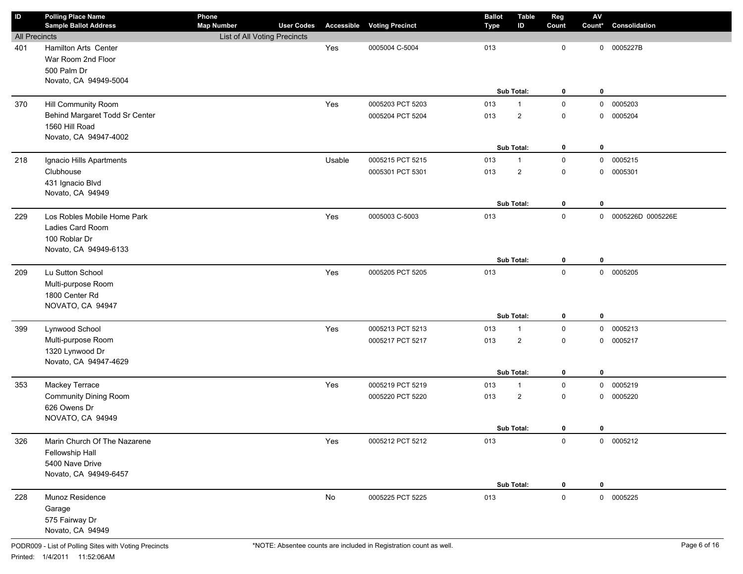| ID                   | <b>Polling Place Name</b>                       | Phone                        |                   |               |                                   | <b>Ballot</b> | <b>Table</b>   | Reg          | $\mathsf{A}\mathsf{V}$ |                     |
|----------------------|-------------------------------------------------|------------------------------|-------------------|---------------|-----------------------------------|---------------|----------------|--------------|------------------------|---------------------|
|                      | <b>Sample Ballot Address</b>                    | <b>Map Number</b>            | <b>User Codes</b> |               | <b>Accessible Voting Precinct</b> | <b>Type</b>   | ID             | Count        | Count*                 | Consolidation       |
| <b>All Precincts</b> |                                                 | List of All Voting Precincts |                   |               |                                   |               |                |              |                        |                     |
| 401                  | Hamilton Arts Center                            |                              |                   | Yes           | 0005004 C-5004                    | 013           |                | $\mathbf 0$  |                        | 0 0005227B          |
|                      | War Room 2nd Floor                              |                              |                   |               |                                   |               |                |              |                        |                     |
|                      | 500 Palm Dr                                     |                              |                   |               |                                   |               |                |              |                        |                     |
|                      | Novato, CA 94949-5004                           |                              |                   |               |                                   |               | Sub Total:     |              |                        |                     |
|                      |                                                 |                              |                   |               |                                   |               |                | 0            | 0                      |                     |
| 370                  | Hill Community Room                             |                              |                   | Yes           | 0005203 PCT 5203                  | 013           | $\mathbf{1}$   | $\mathsf 0$  | $\mathbf 0$            | 0005203             |
|                      | Behind Margaret Todd Sr Center                  |                              |                   |               | 0005204 PCT 5204                  | 013           | $\overline{2}$ | $\mathsf 0$  | 0                      | 0005204             |
|                      | 1560 Hill Road                                  |                              |                   |               |                                   |               |                |              |                        |                     |
|                      | Novato, CA 94947-4002                           |                              |                   |               |                                   |               | Sub Total:     |              |                        |                     |
|                      |                                                 |                              |                   |               |                                   |               |                | 0            | 0                      |                     |
| 218                  | Ignacio Hills Apartments                        |                              |                   | Usable        | 0005215 PCT 5215                  | 013           | $\mathbf{1}$   | $\mathsf 0$  |                        | 0 0005215           |
|                      | Clubhouse                                       |                              |                   |               | 0005301 PCT 5301                  | 013           | $\overline{2}$ | $\mathsf 0$  | 0                      | 0005301             |
|                      | 431 Ignacio Blvd<br>Novato, CA 94949            |                              |                   |               |                                   |               |                |              |                        |                     |
|                      |                                                 |                              |                   |               |                                   |               | Sub Total:     | 0            | $\mathbf 0$            |                     |
|                      |                                                 |                              |                   |               |                                   |               |                | $\mathbf 0$  |                        |                     |
| 229                  | Los Robles Mobile Home Park<br>Ladies Card Room |                              |                   | Yes           | 0005003 C-5003                    | 013           |                |              |                        | 0 0005226D 0005226E |
|                      |                                                 |                              |                   |               |                                   |               |                |              |                        |                     |
|                      | 100 Roblar Dr<br>Novato, CA 94949-6133          |                              |                   |               |                                   |               |                |              |                        |                     |
|                      |                                                 |                              |                   |               |                                   |               | Sub Total:     | 0            | $\mathbf 0$            |                     |
| 209                  | Lu Sutton School                                |                              |                   | Yes           | 0005205 PCT 5205                  | 013           |                | $\mathbf 0$  |                        | 0 0005205           |
|                      | Multi-purpose Room                              |                              |                   |               |                                   |               |                |              |                        |                     |
|                      | 1800 Center Rd                                  |                              |                   |               |                                   |               |                |              |                        |                     |
|                      | NOVATO, CA 94947                                |                              |                   |               |                                   |               |                |              |                        |                     |
|                      |                                                 |                              |                   |               |                                   |               | Sub Total:     | 0            | $\mathbf 0$            |                     |
| 399                  | Lynwood School                                  |                              |                   | Yes           | 0005213 PCT 5213                  | 013           | $\mathbf{1}$   | $\mathsf 0$  |                        | 0 0005213           |
|                      | Multi-purpose Room                              |                              |                   |               | 0005217 PCT 5217                  | 013           | $\overline{2}$ | $\mathbf 0$  | 0                      | 0005217             |
|                      | 1320 Lynwood Dr                                 |                              |                   |               |                                   |               |                |              |                        |                     |
|                      | Novato, CA 94947-4629                           |                              |                   |               |                                   |               |                |              |                        |                     |
|                      |                                                 |                              |                   |               |                                   |               | Sub Total:     | 0            | $\mathbf 0$            |                     |
| 353                  | Mackey Terrace                                  |                              |                   | Yes           | 0005219 PCT 5219                  | 013           | $\mathbf{1}$   | $\mathbf 0$  |                        | 0 0005219           |
|                      | <b>Community Dining Room</b>                    |                              |                   |               | 0005220 PCT 5220                  | 013           | $\overline{2}$ | $\mathbf 0$  | 0                      | 0005220             |
|                      | 626 Owens Dr                                    |                              |                   |               |                                   |               |                |              |                        |                     |
|                      | NOVATO, CA 94949                                |                              |                   |               |                                   |               |                |              |                        |                     |
|                      |                                                 |                              |                   |               |                                   |               | Sub Total:     | 0            | 0                      |                     |
| 326                  | Marin Church Of The Nazarene                    |                              |                   | Yes           | 0005212 PCT 5212                  | 013           |                | $\mathsf{O}$ |                        | 0 0005212           |
|                      | Fellowship Hall                                 |                              |                   |               |                                   |               |                |              |                        |                     |
|                      | 5400 Nave Drive                                 |                              |                   |               |                                   |               |                |              |                        |                     |
|                      | Novato, CA 94949-6457                           |                              |                   |               |                                   |               |                |              |                        |                     |
|                      |                                                 |                              |                   |               |                                   |               | Sub Total:     | 0            | $\mathbf 0$            |                     |
| 228                  | Munoz Residence                                 |                              |                   | $\mathsf{No}$ | 0005225 PCT 5225                  | 013           |                | $\mathbf 0$  |                        | 0 0005225           |
|                      | Garage                                          |                              |                   |               |                                   |               |                |              |                        |                     |
|                      | 575 Fairway Dr                                  |                              |                   |               |                                   |               |                |              |                        |                     |
|                      | Novato, CA 94949                                |                              |                   |               |                                   |               |                |              |                        |                     |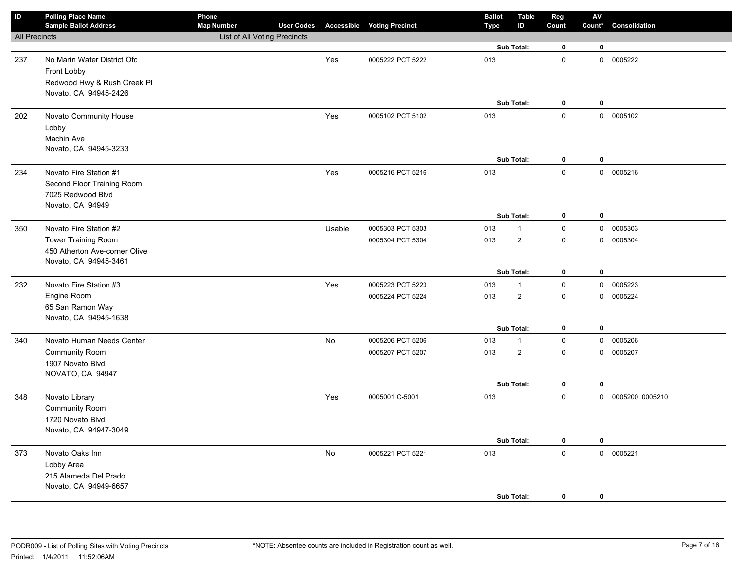| $\sf ID$             | <b>Polling Place Name</b><br><b>Sample Ballot Address</b> | Phone<br><b>Map Number</b>          | <b>User Codes</b> |        | <b>Accessible Voting Precinct</b> | <b>Ballot</b><br><b>Type</b> | <b>Table</b><br>ID | Reg<br>Count        | $\mathsf{AV}$<br>Count* | Consolidation     |
|----------------------|-----------------------------------------------------------|-------------------------------------|-------------------|--------|-----------------------------------|------------------------------|--------------------|---------------------|-------------------------|-------------------|
| <b>All Precincts</b> |                                                           | <b>List of All Voting Precincts</b> |                   |        |                                   |                              |                    |                     |                         |                   |
|                      |                                                           |                                     |                   |        |                                   |                              | Sub Total:         | $\mathbf 0$         | $\bf{0}$                |                   |
| 237                  | No Marin Water District Ofc                               |                                     |                   | Yes    | 0005222 PCT 5222                  | 013                          |                    | $\mathbf 0$         |                         | 0 0005222         |
|                      | Front Lobby                                               |                                     |                   |        |                                   |                              |                    |                     |                         |                   |
|                      | Redwood Hwy & Rush Creek Pl                               |                                     |                   |        |                                   |                              |                    |                     |                         |                   |
|                      | Novato, CA 94945-2426                                     |                                     |                   |        |                                   |                              |                    |                     |                         |                   |
|                      |                                                           |                                     |                   |        |                                   |                              | Sub Total:         | $\mathbf 0$         | $\mathbf 0$             |                   |
| 202                  | Novato Community House                                    |                                     |                   | Yes    | 0005102 PCT 5102                  | 013                          |                    | $\mathsf 0$         |                         | 0 0005102         |
|                      | Lobby                                                     |                                     |                   |        |                                   |                              |                    |                     |                         |                   |
|                      | Machin Ave                                                |                                     |                   |        |                                   |                              |                    |                     |                         |                   |
|                      | Novato, CA 94945-3233                                     |                                     |                   |        |                                   |                              | Sub Total:         | $\pmb{0}$           | $\mathbf 0$             |                   |
| 234                  | Novato Fire Station #1                                    |                                     |                   | Yes    | 0005216 PCT 5216                  | 013                          |                    | $\mathsf 0$         |                         | 0 0005216         |
|                      | Second Floor Training Room                                |                                     |                   |        |                                   |                              |                    |                     |                         |                   |
|                      | 7025 Redwood Blvd                                         |                                     |                   |        |                                   |                              |                    |                     |                         |                   |
|                      | Novato, CA 94949                                          |                                     |                   |        |                                   |                              |                    |                     |                         |                   |
|                      |                                                           |                                     |                   |        |                                   |                              | Sub Total:         | $\mathbf 0$         | $\pmb{0}$               |                   |
| 350                  | Novato Fire Station #2                                    |                                     |                   | Usable | 0005303 PCT 5303                  | 013                          | $\mathbf{1}$       | $\mathbf 0$         | $\mathsf{O}$            | 0005303           |
|                      | <b>Tower Training Room</b>                                |                                     |                   |        | 0005304 PCT 5304                  | 013                          | $\overline{2}$     | $\mathsf 0$         | $\mathbf 0$             | 0005304           |
|                      | 450 Atherton Ave-corner Olive                             |                                     |                   |        |                                   |                              |                    |                     |                         |                   |
|                      | Novato, CA 94945-3461                                     |                                     |                   |        |                                   |                              |                    |                     |                         |                   |
|                      |                                                           |                                     |                   |        |                                   |                              | Sub Total:         | $\mathbf 0$         | $\bf{0}$                |                   |
| 232                  | Novato Fire Station #3                                    |                                     |                   | Yes    | 0005223 PCT 5223                  | 013                          | $\mathbf{1}$       | $\pmb{0}$           | $\mathbf 0$             | 0005223           |
|                      | Engine Room                                               |                                     |                   |        | 0005224 PCT 5224                  | 013                          | $\overline{2}$     | $\mathsf 0$         | $\mathbf 0$             | 0005224           |
|                      | 65 San Ramon Way                                          |                                     |                   |        |                                   |                              |                    |                     |                         |                   |
|                      | Novato, CA 94945-1638                                     |                                     |                   |        |                                   |                              | Sub Total:         | $\mathbf 0$         | $\mathbf 0$             |                   |
| 340                  | Novato Human Needs Center                                 |                                     |                   | No     | 0005206 PCT 5206                  | 013                          | $\mathbf{1}$       | $\mathsf 0$         | $\mathbf{0}$            | 0005206           |
|                      | <b>Community Room</b>                                     |                                     |                   |        | 0005207 PCT 5207                  | 013                          | $\overline{2}$     | $\pmb{0}$           |                         | 0 0005207         |
|                      | 1907 Novato Blvd                                          |                                     |                   |        |                                   |                              |                    |                     |                         |                   |
|                      | NOVATO, CA 94947                                          |                                     |                   |        |                                   |                              |                    |                     |                         |                   |
|                      |                                                           |                                     |                   |        |                                   |                              | Sub Total:         | 0                   | $\pmb{0}$               |                   |
| 348                  | Novato Library                                            |                                     |                   | Yes    | 0005001 C-5001                    | 013                          |                    | $\mathbf 0$         |                         | 0 0005200 0005210 |
|                      | Community Room                                            |                                     |                   |        |                                   |                              |                    |                     |                         |                   |
|                      | 1720 Novato Blvd                                          |                                     |                   |        |                                   |                              |                    |                     |                         |                   |
|                      | Novato, CA 94947-3049                                     |                                     |                   |        |                                   |                              |                    |                     |                         |                   |
|                      |                                                           |                                     |                   |        |                                   |                              | Sub Total:         | $\mathbf 0$         | $\mathbf 0$             |                   |
| 373                  | Novato Oaks Inn                                           |                                     |                   | No     | 0005221 PCT 5221                  | 013                          |                    | $\mathsf{O}\xspace$ | $\mathbf 0$             | 0005221           |
|                      | Lobby Area                                                |                                     |                   |        |                                   |                              |                    |                     |                         |                   |
|                      | 215 Alameda Del Prado                                     |                                     |                   |        |                                   |                              |                    |                     |                         |                   |
|                      | Novato, CA 94949-6657                                     |                                     |                   |        |                                   |                              |                    |                     |                         |                   |
|                      |                                                           |                                     |                   |        |                                   |                              | Sub Total:         | $\mathbf 0$         | $\mathbf 0$             |                   |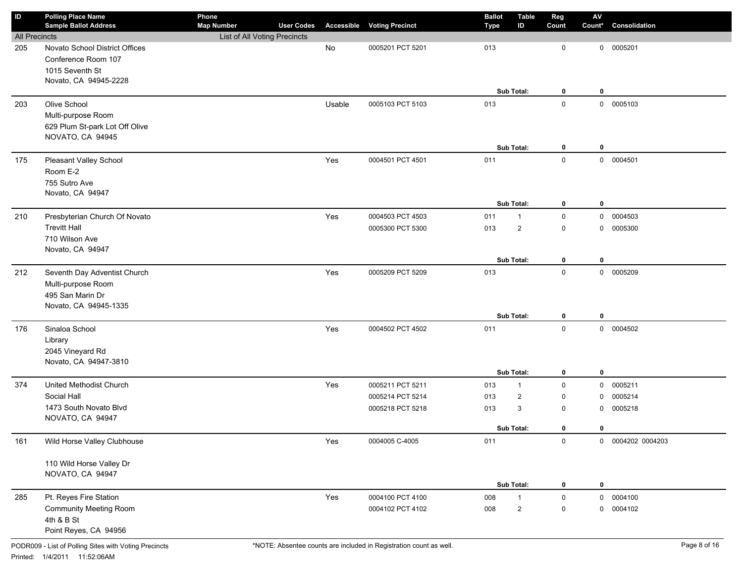| $\mathsf{ID}$        | <b>Polling Place Name</b><br><b>Sample Ballot Address</b>                                                                                                                                 | Phone<br><b>Map Number</b>   | <b>User Codes</b> |            |                                    | <b>Ballot</b>     | <b>Table</b><br>ID                    | Reg                   | $\mathsf{A}\mathsf{V}$<br>Count* | Consolidation                |
|----------------------|-------------------------------------------------------------------------------------------------------------------------------------------------------------------------------------------|------------------------------|-------------------|------------|------------------------------------|-------------------|---------------------------------------|-----------------------|----------------------------------|------------------------------|
| <b>All Precincts</b> |                                                                                                                                                                                           | List of All Voting Precincts |                   |            | <b>Accessible Voting Precinct</b>  | Type              |                                       | Count                 |                                  |                              |
| 205                  | Novato School District Offices                                                                                                                                                            |                              |                   | No         | 0005201 PCT 5201                   | 013               |                                       | 0                     | 0                                | 0005201                      |
|                      | Conference Room 107                                                                                                                                                                       |                              |                   |            |                                    |                   |                                       |                       |                                  |                              |
|                      | 1015 Seventh St                                                                                                                                                                           |                              |                   |            |                                    |                   |                                       |                       |                                  |                              |
|                      | Novato, CA 94945-2228                                                                                                                                                                     |                              |                   |            |                                    |                   |                                       |                       |                                  |                              |
|                      |                                                                                                                                                                                           |                              |                   |            |                                    |                   | Sub Total:                            | 0                     | 0                                |                              |
| 203                  | Olive School                                                                                                                                                                              |                              |                   | Usable     | 0005103 PCT 5103                   | 013               |                                       | $\mathbf 0$           |                                  | 0 0005103                    |
|                      | Multi-purpose Room                                                                                                                                                                        |                              |                   |            |                                    |                   |                                       |                       |                                  |                              |
|                      | 629 Plum St-park Lot Off Olive                                                                                                                                                            |                              |                   |            |                                    |                   |                                       |                       |                                  |                              |
|                      | NOVATO, CA 94945                                                                                                                                                                          |                              |                   |            |                                    |                   |                                       |                       |                                  |                              |
|                      |                                                                                                                                                                                           |                              |                   |            |                                    |                   | Sub Total:                            | 0                     | 0                                |                              |
| 175                  | Pleasant Valley School                                                                                                                                                                    |                              |                   | Yes        | 0004501 PCT 4501                   | 011               |                                       | $\mathbf 0$           |                                  | 0 0004501                    |
|                      | Room E-2                                                                                                                                                                                  |                              |                   |            |                                    |                   |                                       |                       |                                  |                              |
|                      | 755 Sutro Ave                                                                                                                                                                             |                              |                   |            |                                    |                   |                                       |                       |                                  |                              |
|                      | Novato, CA 94947                                                                                                                                                                          |                              |                   |            |                                    |                   |                                       |                       |                                  |                              |
|                      |                                                                                                                                                                                           |                              |                   |            |                                    |                   | Sub Total:                            | 0                     | $\mathbf 0$                      |                              |
| 210                  | Presbyterian Church Of Novato                                                                                                                                                             |                              |                   | Yes        | 0004503 PCT 4503                   | 011               | $\mathbf{1}$                          | $\mathsf 0$           | $\mathbf 0$                      | 0004503                      |
|                      | <b>Trevitt Hall</b>                                                                                                                                                                       |                              |                   |            | 0005300 PCT 5300                   | 013               | $\overline{2}$                        | 0                     | 0                                | 0005300                      |
|                      | 710 Wilson Ave                                                                                                                                                                            |                              |                   |            |                                    |                   |                                       |                       |                                  |                              |
|                      | Novato, CA 94947                                                                                                                                                                          |                              |                   |            |                                    |                   | Sub Total:                            | 0                     | $\mathbf 0$                      |                              |
|                      |                                                                                                                                                                                           |                              |                   |            |                                    |                   |                                       | $\mathbf 0$           |                                  |                              |
| 212                  | Seventh Day Adventist Church<br>Multi-purpose Room                                                                                                                                        |                              |                   | Yes        | 0005209 PCT 5209                   | 013               |                                       |                       |                                  | 0 0005209                    |
|                      | 495 San Marin Dr                                                                                                                                                                          |                              |                   |            |                                    |                   |                                       |                       |                                  |                              |
|                      | Novato, CA 94945-1335                                                                                                                                                                     |                              |                   |            |                                    |                   |                                       |                       |                                  |                              |
|                      |                                                                                                                                                                                           |                              |                   |            |                                    |                   | Sub Total:                            | 0                     | $\mathbf 0$                      |                              |
| 176                  | Sinaloa School                                                                                                                                                                            |                              |                   | Yes        | 0004502 PCT 4502                   | 011               |                                       | $\mathbf 0$           |                                  | 0 0004502                    |
|                      |                                                                                                                                                                                           |                              |                   |            |                                    |                   |                                       |                       |                                  |                              |
|                      |                                                                                                                                                                                           |                              |                   |            |                                    |                   |                                       |                       |                                  |                              |
|                      | Novato, CA 94947-3810                                                                                                                                                                     |                              |                   |            |                                    |                   |                                       |                       |                                  |                              |
|                      |                                                                                                                                                                                           |                              |                   |            |                                    |                   | Sub Total:                            | 0                     | $\mathbf 0$                      |                              |
| 374                  | United Methodist Church                                                                                                                                                                   |                              |                   | Yes        | 0005211 PCT 5211                   | 013               | $\mathbf{1}$                          | $\mathbf 0$           | 0                                | 0005211                      |
|                      | Social Hall                                                                                                                                                                               |                              |                   |            | 0005214 PCT 5214                   | 013               | $\overline{2}$                        | 0                     | 0                                | 0005214                      |
|                      | 1473 South Novato Blvd                                                                                                                                                                    |                              |                   |            | 0005218 PCT 5218                   | 013               | 3                                     | 0                     | 0                                | 0005218                      |
|                      |                                                                                                                                                                                           |                              |                   |            |                                    |                   |                                       |                       |                                  |                              |
|                      |                                                                                                                                                                                           |                              |                   |            |                                    |                   |                                       |                       |                                  |                              |
|                      |                                                                                                                                                                                           |                              |                   |            |                                    |                   |                                       |                       |                                  |                              |
|                      |                                                                                                                                                                                           |                              |                   |            |                                    |                   |                                       |                       |                                  |                              |
|                      |                                                                                                                                                                                           |                              |                   |            |                                    |                   |                                       |                       |                                  |                              |
|                      |                                                                                                                                                                                           |                              |                   |            |                                    |                   | Sub Total:                            | 0                     | $\mathbf 0$                      |                              |
|                      |                                                                                                                                                                                           |                              |                   |            | 0004100 PCT 4100                   |                   | $\mathbf{1}$                          | $\mathbf 0$           |                                  | 0 0004100                    |
|                      |                                                                                                                                                                                           |                              |                   |            |                                    |                   |                                       |                       |                                  |                              |
|                      | 4th & B St                                                                                                                                                                                |                              |                   |            |                                    |                   |                                       |                       |                                  |                              |
|                      | Point Reyes, CA 94956                                                                                                                                                                     |                              |                   |            |                                    |                   |                                       |                       |                                  |                              |
| 161<br>285           | Library<br>2045 Vineyard Rd<br>NOVATO, CA 94947<br>Wild Horse Valley Clubhouse<br>110 Wild Horse Valley Dr<br>NOVATO, CA 94947<br>Pt. Reyes Fire Station<br><b>Community Meeting Room</b> |                              |                   | Yes<br>Yes | 0004005 C-4005<br>0004102 PCT 4102 | 011<br>008<br>008 | Sub Total:<br>$\overline{\mathbf{c}}$ | 0<br>$\mathbf 0$<br>0 | 0<br>0                           | 0 0004202 0004203<br>0004102 |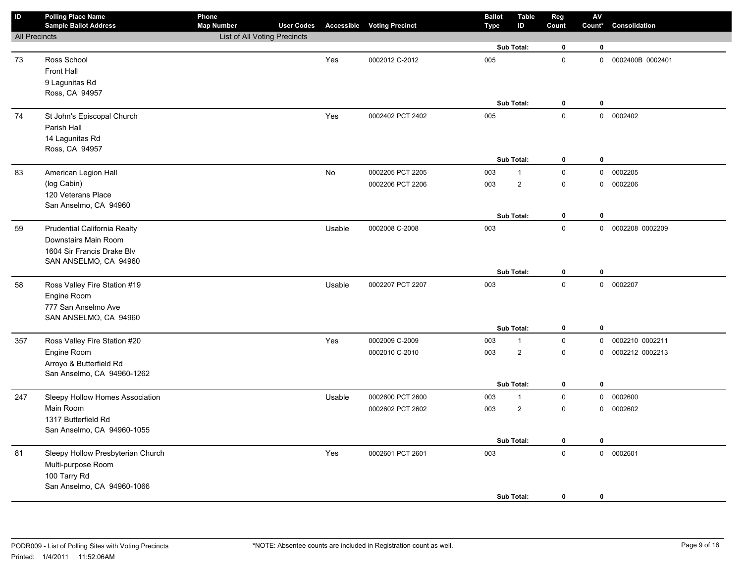| ID                   | <b>Polling Place Name</b><br><b>Sample Ballot Address</b> | Phone<br><b>Map Number</b>          | <b>User Codes</b> |        | <b>Accessible Voting Precinct</b> | <b>Ballot</b><br><b>Type</b> | <b>Table</b><br>ID | Reg<br>Count | ${\sf AV}$<br>Count* | Consolidation      |
|----------------------|-----------------------------------------------------------|-------------------------------------|-------------------|--------|-----------------------------------|------------------------------|--------------------|--------------|----------------------|--------------------|
| <b>All Precincts</b> |                                                           | <b>List of All Voting Precincts</b> |                   |        |                                   |                              |                    |              |                      |                    |
|                      |                                                           |                                     |                   |        |                                   |                              | Sub Total:         | $\mathbf 0$  | $\bf{0}$             |                    |
| 73                   | Ross School                                               |                                     |                   | Yes    | 0002012 C-2012                    | 005                          |                    | $\mathbf 0$  |                      | 0 0002400B 0002401 |
|                      | Front Hall                                                |                                     |                   |        |                                   |                              |                    |              |                      |                    |
|                      | 9 Lagunitas Rd                                            |                                     |                   |        |                                   |                              |                    |              |                      |                    |
|                      | Ross, CA 94957                                            |                                     |                   |        |                                   |                              |                    |              |                      |                    |
|                      |                                                           |                                     |                   |        |                                   |                              | Sub Total:         | $\mathbf 0$  | 0                    |                    |
| 74                   | St John's Episcopal Church                                |                                     |                   | Yes    | 0002402 PCT 2402                  | 005                          |                    | $\mathbf 0$  |                      | 0 0002402          |
|                      | Parish Hall                                               |                                     |                   |        |                                   |                              |                    |              |                      |                    |
|                      | 14 Lagunitas Rd                                           |                                     |                   |        |                                   |                              |                    |              |                      |                    |
|                      | Ross, CA 94957                                            |                                     |                   |        |                                   |                              |                    |              |                      |                    |
|                      |                                                           |                                     |                   |        |                                   |                              | Sub Total:         | $\pmb{0}$    | $\pmb{0}$            |                    |
| 83                   | American Legion Hall                                      |                                     |                   | No     | 0002205 PCT 2205                  | 003                          | $\mathbf{1}$       | $\mathbf 0$  | $\mathbf 0$          | 0002205            |
|                      | (log Cabin)                                               |                                     |                   |        | 0002206 PCT 2206                  | 003                          | $\sqrt{2}$         | $\mathsf 0$  | $\mathsf{O}\xspace$  | 0002206            |
|                      | 120 Veterans Place<br>San Anselmo, CA 94960               |                                     |                   |        |                                   |                              |                    |              |                      |                    |
|                      |                                                           |                                     |                   |        |                                   |                              | Sub Total:         | $\mathbf 0$  | $\pmb{0}$            |                    |
| 59                   | Prudential California Realty                              |                                     |                   | Usable | 0002008 C-2008                    | 003                          |                    | $\mathsf 0$  |                      | 0 0002208 0002209  |
|                      | Downstairs Main Room                                      |                                     |                   |        |                                   |                              |                    |              |                      |                    |
|                      | 1604 Sir Francis Drake Blv                                |                                     |                   |        |                                   |                              |                    |              |                      |                    |
|                      | SAN ANSELMO, CA 94960                                     |                                     |                   |        |                                   |                              |                    |              |                      |                    |
|                      |                                                           |                                     |                   |        |                                   |                              | Sub Total:         | $\mathbf 0$  | $\mathbf 0$          |                    |
| 58                   | Ross Valley Fire Station #19                              |                                     |                   | Usable | 0002207 PCT 2207                  | 003                          |                    | $\pmb{0}$    |                      | 0 0002207          |
|                      | Engine Room                                               |                                     |                   |        |                                   |                              |                    |              |                      |                    |
|                      | 777 San Anselmo Ave                                       |                                     |                   |        |                                   |                              |                    |              |                      |                    |
|                      | SAN ANSELMO, CA 94960                                     |                                     |                   |        |                                   |                              |                    |              |                      |                    |
|                      |                                                           |                                     |                   |        |                                   |                              | Sub Total:         | $\mathbf 0$  | $\bf{0}$             |                    |
| 357                  | Ross Valley Fire Station #20                              |                                     |                   | Yes    | 0002009 C-2009                    | 003                          | $\mathbf{1}$       | $\mathsf 0$  | $\mathbf{0}$         | 0002210 0002211    |
|                      | Engine Room                                               |                                     |                   |        | 0002010 C-2010                    | 003                          | $\sqrt{2}$         | $\mathbf 0$  | 0                    | 0002212 0002213    |
|                      | Arroyo & Butterfield Rd<br>San Anselmo, CA 94960-1262     |                                     |                   |        |                                   |                              |                    |              |                      |                    |
|                      |                                                           |                                     |                   |        |                                   |                              | Sub Total:         | $\mathbf 0$  | $\pmb{0}$            |                    |
| 247                  | Sleepy Hollow Homes Association                           |                                     |                   | Usable | 0002600 PCT 2600                  | 003                          | $\mathbf{1}$       | $\mathbf 0$  | $\mathbf 0$          | 0002600            |
|                      | Main Room                                                 |                                     |                   |        | 0002602 PCT 2602                  | 003                          | $\sqrt{2}$         | $\mathsf 0$  | $\mathbf 0$          | 0002602            |
|                      | 1317 Butterfield Rd                                       |                                     |                   |        |                                   |                              |                    |              |                      |                    |
|                      | San Anselmo, CA 94960-1055                                |                                     |                   |        |                                   |                              |                    |              |                      |                    |
|                      |                                                           |                                     |                   |        |                                   |                              | Sub Total:         | $\mathbf 0$  | $\mathbf 0$          |                    |
| 81                   | Sleepy Hollow Presbyterian Church                         |                                     |                   | Yes    | 0002601 PCT 2601                  | 003                          |                    | $\pmb{0}$    |                      | 0 0002601          |
|                      | Multi-purpose Room                                        |                                     |                   |        |                                   |                              |                    |              |                      |                    |
|                      | 100 Tarry Rd                                              |                                     |                   |        |                                   |                              |                    |              |                      |                    |
|                      | San Anselmo, CA 94960-1066                                |                                     |                   |        |                                   |                              |                    |              |                      |                    |
|                      |                                                           |                                     |                   |        |                                   |                              | Sub Total:         | $\mathbf 0$  | 0                    |                    |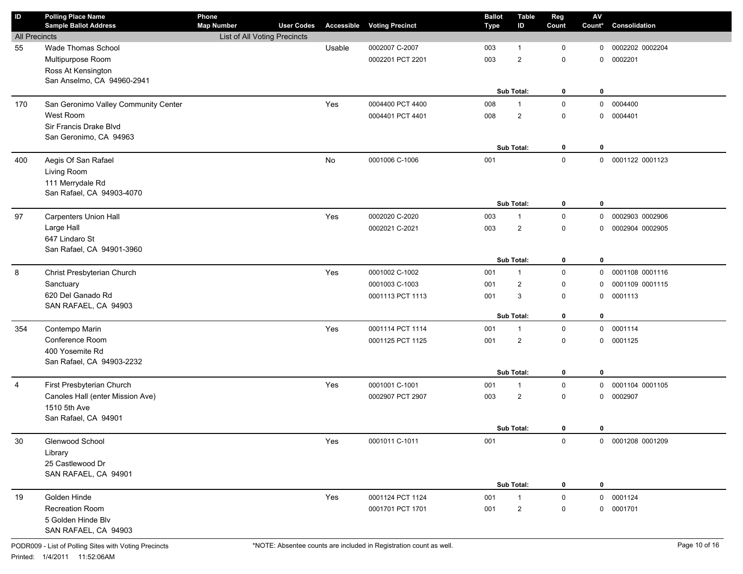| ID                   | <b>Polling Place Name</b><br><b>Sample Ballot Address</b> | Phone<br><b>Map Number</b>   | <b>User Codes</b> |        | <b>Accessible Voting Precinct</b> | <b>Ballot</b><br><b>Type</b> | <b>Table</b><br>ID | Reg<br>Count | $\mathsf{AV}$<br>Count* | Consolidation     |
|----------------------|-----------------------------------------------------------|------------------------------|-------------------|--------|-----------------------------------|------------------------------|--------------------|--------------|-------------------------|-------------------|
| <b>All Precincts</b> |                                                           | List of All Voting Precincts |                   |        |                                   |                              |                    |              |                         |                   |
| 55                   | Wade Thomas School                                        |                              |                   | Usable | 0002007 C-2007                    | 003                          | 1                  | $\mathbf 0$  | 0                       | 0002202 0002204   |
|                      | Multipurpose Room                                         |                              |                   |        | 0002201 PCT 2201                  | 003                          | $\overline{2}$     | $\mathbf 0$  | 0                       | 0002201           |
|                      | Ross At Kensington                                        |                              |                   |        |                                   |                              |                    |              |                         |                   |
|                      | San Anselmo, CA 94960-2941                                |                              |                   |        |                                   |                              |                    |              |                         |                   |
|                      |                                                           |                              |                   |        |                                   |                              | Sub Total:         | 0            | 0                       |                   |
| 170                  | San Geronimo Valley Community Center                      |                              |                   | Yes    | 0004400 PCT 4400                  | 008                          | $\mathbf{1}$       | $\mathsf 0$  |                         | 0 0004400         |
|                      | West Room                                                 |                              |                   |        | 0004401 PCT 4401                  | 008                          | $\overline{c}$     | $\mathbf 0$  | 0                       | 0004401           |
|                      | Sir Francis Drake Blvd                                    |                              |                   |        |                                   |                              |                    |              |                         |                   |
|                      | San Geronimo, CA 94963                                    |                              |                   |        |                                   |                              |                    |              |                         |                   |
|                      |                                                           |                              |                   |        |                                   |                              | Sub Total:         | 0            | 0                       |                   |
| 400                  | Aegis Of San Rafael                                       |                              |                   | No     | 0001006 C-1006                    | 001                          |                    | $\mathsf 0$  |                         | 0 0001122 0001123 |
|                      | Living Room                                               |                              |                   |        |                                   |                              |                    |              |                         |                   |
|                      | 111 Merrydale Rd                                          |                              |                   |        |                                   |                              |                    |              |                         |                   |
|                      | San Rafael, CA 94903-4070                                 |                              |                   |        |                                   |                              |                    |              | $\mathbf 0$             |                   |
|                      |                                                           |                              |                   |        |                                   |                              | Sub Total:         | 0            |                         |                   |
| 97                   | <b>Carpenters Union Hall</b>                              |                              |                   | Yes    | 0002020 C-2020                    | 003                          | $\mathbf{1}$       | $\mathsf 0$  | $\mathbf 0$             | 0002903 0002906   |
|                      | Large Hall<br>647 Lindaro St                              |                              |                   |        | 0002021 C-2021                    | 003                          | $\overline{2}$     | $\mathbf 0$  | 0                       | 0002904 0002905   |
|                      | San Rafael, CA 94901-3960                                 |                              |                   |        |                                   |                              |                    |              |                         |                   |
|                      |                                                           |                              |                   |        |                                   |                              | Sub Total:         | 0            | $\mathbf 0$             |                   |
| 8                    | Christ Presbyterian Church                                |                              |                   | Yes    | 0001002 C-1002                    | 001                          | $\mathbf{1}$       | $\mathsf 0$  |                         | 0 0001108 0001116 |
|                      | Sanctuary                                                 |                              |                   |        | 0001003 C-1003                    | 001                          | $\overline{2}$     | $\mathbf 0$  | 0                       | 0001109 0001115   |
|                      | 620 Del Ganado Rd                                         |                              |                   |        | 0001113 PCT 1113                  | 001                          | 3                  | $\mathbf 0$  | 0                       | 0001113           |
|                      | SAN RAFAEL, CA 94903                                      |                              |                   |        |                                   |                              |                    |              |                         |                   |
|                      |                                                           |                              |                   |        |                                   |                              | <b>Sub Total:</b>  | 0            | $\mathbf 0$             |                   |
| 354                  | Contempo Marin                                            |                              |                   | Yes    | 0001114 PCT 1114                  | 001                          | $\mathbf{1}$       | $\mathsf 0$  |                         | 0 0001114         |
|                      | Conference Room                                           |                              |                   |        | 0001125 PCT 1125                  | 001                          | $\overline{2}$     | $\mathbf 0$  |                         | 0 0001125         |
|                      | 400 Yosemite Rd                                           |                              |                   |        |                                   |                              |                    |              |                         |                   |
|                      | San Rafael, CA 94903-2232                                 |                              |                   |        |                                   |                              |                    |              |                         |                   |
|                      |                                                           |                              |                   |        |                                   |                              | Sub Total:         | 0            | $\mathbf 0$             |                   |
| $\overline{4}$       | First Presbyterian Church                                 |                              |                   | Yes    | 0001001 C-1001                    | 001                          | $\mathbf{1}$       | $\mathbf 0$  | $\mathbf 0$             | 0001104 0001105   |
|                      | Canoles Hall (enter Mission Ave)<br>1510 5th Ave          |                              |                   |        | 0002907 PCT 2907                  | 003                          | $\overline{2}$     | $\mathbf 0$  | 0                       | 0002907           |
|                      | San Rafael, CA 94901                                      |                              |                   |        |                                   |                              |                    |              |                         |                   |
|                      |                                                           |                              |                   |        |                                   |                              | Sub Total:         | 0            | 0                       |                   |
| 30                   | Glenwood School                                           |                              |                   | Yes    | 0001011 C-1011                    | 001                          |                    | $\mathsf{O}$ |                         | 0 0001208 0001209 |
|                      | Library                                                   |                              |                   |        |                                   |                              |                    |              |                         |                   |
|                      | 25 Castlewood Dr                                          |                              |                   |        |                                   |                              |                    |              |                         |                   |
|                      | SAN RAFAEL, CA 94901                                      |                              |                   |        |                                   |                              |                    |              |                         |                   |
|                      |                                                           |                              |                   |        |                                   |                              | Sub Total:         | 0            | 0                       |                   |
| 19                   | Golden Hinde                                              |                              |                   | Yes    | 0001124 PCT 1124                  | 001                          | $\mathbf{1}$       | $\mathsf 0$  |                         | 0 0001124         |
|                      | Recreation Room                                           |                              |                   |        | 0001701 PCT 1701                  | 001                          | $\overline{a}$     | 0            |                         | 0 0001701         |
|                      | 5 Golden Hinde Blv                                        |                              |                   |        |                                   |                              |                    |              |                         |                   |
|                      | SAN RAFAEL, CA 94903                                      |                              |                   |        |                                   |                              |                    |              |                         |                   |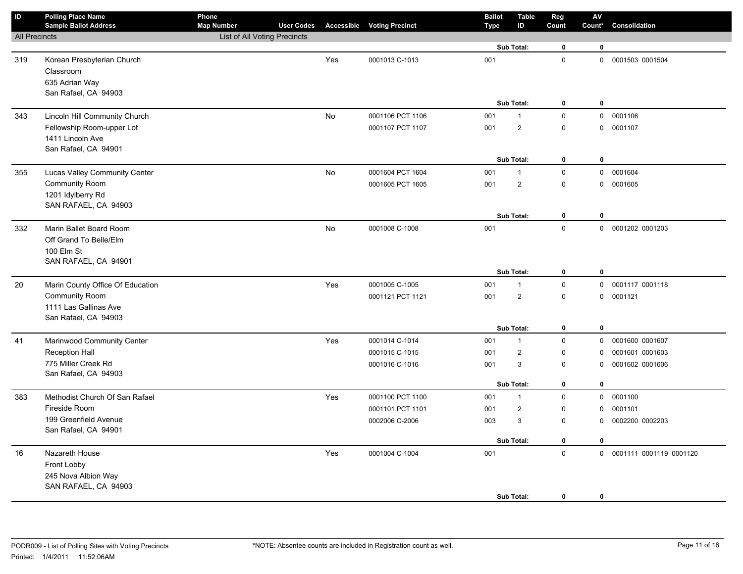| $\mathsf{ID}$        | <b>Polling Place Name</b><br><b>Sample Ballot Address</b>                                                  | Phone<br><b>Map Number</b>   | <b>User Codes</b> |     | <b>Accessible Voting Precinct</b>    | <b>Ballot</b><br><b>Type</b> | <b>Table</b><br>ID           | Reg<br>Count               | $\mathsf{A}\mathsf{V}$<br>Count* | Consolidation                      |
|----------------------|------------------------------------------------------------------------------------------------------------|------------------------------|-------------------|-----|--------------------------------------|------------------------------|------------------------------|----------------------------|----------------------------------|------------------------------------|
| <b>All Precincts</b> |                                                                                                            | List of All Voting Precincts |                   |     |                                      |                              |                              |                            |                                  |                                    |
|                      |                                                                                                            |                              |                   |     |                                      |                              | Sub Total:                   | 0                          | $\mathbf 0$                      |                                    |
| 319                  | Korean Presbyterian Church<br>Classroom<br>635 Adrian Way<br>San Rafael, CA 94903                          |                              |                   | Yes | 0001013 C-1013                       | 001                          | <b>Sub Total:</b>            | $\mathsf 0$<br>0           | $\mathbf 0$                      | 0 0001503 0001504                  |
| 343                  | Lincoln Hill Community Church                                                                              |                              |                   | No  | 0001106 PCT 1106                     | 001                          | $\mathbf{1}$                 | $\mathsf 0$                |                                  | 0 0001106                          |
|                      | Fellowship Room-upper Lot<br>1411 Lincoln Ave<br>San Rafael, CA 94901                                      |                              |                   |     | 0001107 PCT 1107                     | 001                          | $\mathbf{2}$                 | $\mathbf 0$                |                                  | 0 0001107                          |
|                      |                                                                                                            |                              |                   |     |                                      |                              | <b>Sub Total:</b>            | 0                          | $\mathbf 0$                      |                                    |
| 355                  | Lucas Valley Community Center<br><b>Community Room</b><br>1201 Idylberry Rd<br>SAN RAFAEL, CA 94903        |                              |                   | No  | 0001604 PCT 1604<br>0001605 PCT 1605 | 001<br>001                   | 1<br>$\mathbf{2}$            | $\mathsf 0$<br>$\mathbf 0$ |                                  | 0 0001604<br>0 0001605             |
|                      |                                                                                                            |                              |                   |     |                                      |                              | Sub Total:                   | $\mathbf 0$                | $\mathbf 0$                      |                                    |
| 332                  | Marin Ballet Board Room<br>Off Grand To Belle/Elm<br>100 Elm St<br>SAN RAFAEL, CA 94901                    |                              |                   | No  | 0001008 C-1008                       | 001                          |                              | $\mathbf 0$                |                                  | 0 0001202 0001203                  |
|                      |                                                                                                            |                              |                   |     |                                      |                              | Sub Total:                   | 0                          | $\mathbf 0$                      |                                    |
| 20                   | Marin County Office Of Education<br><b>Community Room</b><br>1111 Las Gallinas Ave<br>San Rafael, CA 94903 |                              |                   | Yes | 0001005 C-1005<br>0001121 PCT 1121   | 001<br>001                   | $\mathbf{1}$<br>$\mathbf{2}$ | $\mathsf 0$<br>$\mathbf 0$ |                                  | 0 0001117 0001118<br>0 0001121     |
|                      |                                                                                                            |                              |                   |     |                                      |                              | Sub Total:                   | 0                          | $\mathbf 0$                      |                                    |
| 41                   | Marinwood Community Center                                                                                 |                              |                   | Yes | 0001014 C-1014                       | 001                          | 1                            | $\mathsf 0$                |                                  | 0 0001600 0001607                  |
|                      | <b>Reception Hall</b><br>775 Miller Creek Rd                                                               |                              |                   |     | 0001015 C-1015<br>0001016 C-1016     | 001<br>001                   | $\overline{\mathbf{c}}$<br>3 | 0<br>0                     | 0<br>0                           | 0001601 0001603<br>0001602 0001606 |
|                      | San Rafael, CA 94903                                                                                       |                              |                   |     |                                      |                              |                              |                            |                                  |                                    |
|                      |                                                                                                            |                              |                   |     |                                      |                              | Sub Total:                   | 0                          | $\mathbf 0$                      |                                    |
| 383                  | Methodist Church Of San Rafael                                                                             |                              |                   | Yes | 0001100 PCT 1100                     | 001                          | $\mathbf{1}$                 | $\mathbf 0$                |                                  | 0 0001100                          |
|                      | Fireside Room                                                                                              |                              |                   |     | 0001101 PCT 1101                     | 001                          | $\overline{\mathbf{c}}$      | 0                          | 0                                | 0001101                            |
|                      | 199 Greenfield Avenue<br>San Rafael, CA 94901                                                              |                              |                   |     | 0002006 C-2006                       | 003                          | 3                            | $\mathbf 0$                | 0                                | 0002200 0002203                    |
|                      |                                                                                                            |                              |                   |     |                                      |                              | Sub Total:                   | 0                          | 0                                |                                    |
| 16                   | Nazareth House<br>Front Lobby<br>245 Nova Albion Way<br>SAN RAFAEL, CA 94903                               |                              |                   | Yes | 0001004 C-1004                       | 001                          | Sub Total:                   | $\mathsf 0$<br>$\mathbf 0$ | 0                                | 0 0001111 0001119 0001120          |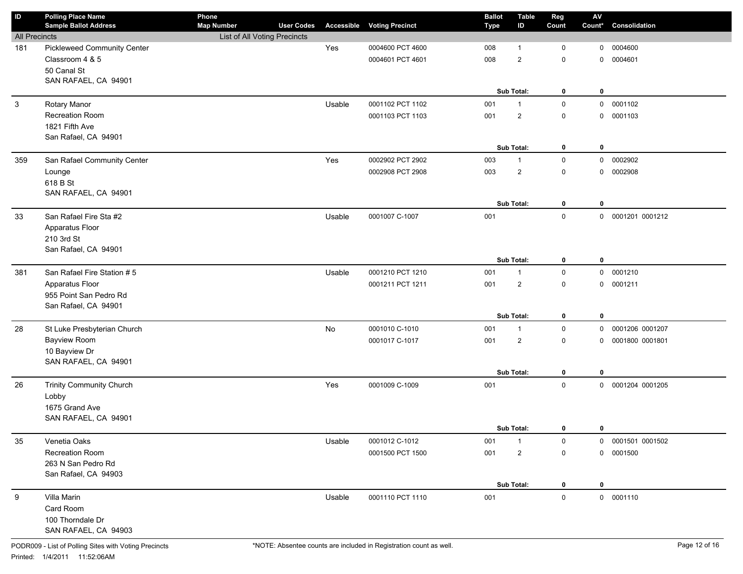| $\mathsf{ID}$        | <b>Polling Place Name</b><br><b>Sample Ballot Address</b> | Phone<br><b>Map Number</b>   | <b>User Codes</b> |        | <b>Accessible Voting Precinct</b> | <b>Ballot</b><br><b>Type</b> | <b>Table</b><br>ID | Reg<br>Count | ${\sf AV}$<br>Count* | Consolidation     |
|----------------------|-----------------------------------------------------------|------------------------------|-------------------|--------|-----------------------------------|------------------------------|--------------------|--------------|----------------------|-------------------|
| <b>All Precincts</b> |                                                           | List of All Voting Precincts |                   |        |                                   |                              |                    |              |                      |                   |
| 181                  | <b>Pickleweed Community Center</b>                        |                              |                   | Yes    | 0004600 PCT 4600                  | 008                          | 1                  | 0            | 0                    | 0004600           |
|                      | Classroom 4 & 5                                           |                              |                   |        | 0004601 PCT 4601                  | 008                          | $\overline{2}$     | $\mathbf 0$  | $\mathbf 0$          | 0004601           |
|                      | 50 Canal St                                               |                              |                   |        |                                   |                              |                    |              |                      |                   |
|                      | SAN RAFAEL, CA 94901                                      |                              |                   |        |                                   |                              |                    |              |                      |                   |
|                      |                                                           |                              |                   |        |                                   |                              | Sub Total:         | 0            | 0                    |                   |
| $\mathbf{3}$         | Rotary Manor                                              |                              |                   | Usable | 0001102 PCT 1102                  | 001                          | $\mathbf{1}$       | $\mathsf 0$  | 0                    | 0001102           |
|                      | Recreation Room                                           |                              |                   |        | 0001103 PCT 1103                  | 001                          | $\overline{2}$     | $\mathsf 0$  | $\mathbf 0$          | 0001103           |
|                      | 1821 Fifth Ave                                            |                              |                   |        |                                   |                              |                    |              |                      |                   |
|                      | San Rafael, CA 94901                                      |                              |                   |        |                                   |                              |                    |              |                      |                   |
|                      |                                                           |                              |                   |        |                                   |                              | Sub Total:         | 0            | 0                    |                   |
| 359                  | San Rafael Community Center                               |                              |                   | Yes    | 0002902 PCT 2902                  | 003                          | $\mathbf{1}$       | $\mathsf 0$  | 0                    | 0002902           |
|                      | Lounge                                                    |                              |                   |        | 0002908 PCT 2908                  | 003                          | $\overline{2}$     | $\mathsf 0$  | 0                    | 0002908           |
|                      | 618 B St                                                  |                              |                   |        |                                   |                              |                    |              |                      |                   |
|                      | SAN RAFAEL, CA 94901                                      |                              |                   |        |                                   |                              | Sub Total:         | $\mathbf 0$  | 0                    |                   |
|                      | San Rafael Fire Sta #2                                    |                              |                   |        |                                   |                              |                    |              |                      |                   |
| 33                   |                                                           |                              |                   | Usable | 0001007 C-1007                    | 001                          |                    | $\mathsf 0$  | 0                    | 0001201 0001212   |
|                      | Apparatus Floor<br>210 3rd St                             |                              |                   |        |                                   |                              |                    |              |                      |                   |
|                      | San Rafael, CA 94901                                      |                              |                   |        |                                   |                              |                    |              |                      |                   |
|                      |                                                           |                              |                   |        |                                   |                              | Sub Total:         | $\mathbf 0$  | 0                    |                   |
| 381                  | San Rafael Fire Station # 5                               |                              |                   | Usable | 0001210 PCT 1210                  | 001                          | $\mathbf{1}$       | $\mathsf 0$  | 0                    | 0001210           |
|                      | Apparatus Floor                                           |                              |                   |        | 0001211 PCT 1211                  | 001                          | $\overline{2}$     | $\mathbf 0$  | $\mathbf 0$          | 0001211           |
|                      | 955 Point San Pedro Rd                                    |                              |                   |        |                                   |                              |                    |              |                      |                   |
|                      | San Rafael, CA 94901                                      |                              |                   |        |                                   |                              |                    |              |                      |                   |
|                      |                                                           |                              |                   |        |                                   |                              | Sub Total:         | $\mathbf 0$  | 0                    |                   |
| 28                   | St Luke Presbyterian Church                               |                              |                   | No     | 0001010 C-1010                    | 001                          | $\mathbf{1}$       | $\mathsf 0$  | 0                    | 0001206 0001207   |
|                      | Bayview Room                                              |                              |                   |        | 0001017 C-1017                    | 001                          | $\overline{2}$     | $\mathbf 0$  | 0                    | 0001800 0001801   |
|                      | 10 Bayview Dr                                             |                              |                   |        |                                   |                              |                    |              |                      |                   |
|                      | SAN RAFAEL, CA 94901                                      |                              |                   |        |                                   |                              |                    |              |                      |                   |
|                      |                                                           |                              |                   |        |                                   |                              | Sub Total:         | $\mathbf 0$  | 0                    |                   |
| 26                   | <b>Trinity Community Church</b>                           |                              |                   | Yes    | 0001009 C-1009                    | 001                          |                    | $\mathsf 0$  | 0                    | 0001204 0001205   |
|                      | Lobby                                                     |                              |                   |        |                                   |                              |                    |              |                      |                   |
|                      | 1675 Grand Ave                                            |                              |                   |        |                                   |                              |                    |              |                      |                   |
|                      | SAN RAFAEL, CA 94901                                      |                              |                   |        |                                   |                              |                    |              |                      |                   |
|                      |                                                           |                              |                   |        |                                   |                              | Sub Total:         | $\mathbf{0}$ | 0                    |                   |
| 35                   | Venetia Oaks                                              |                              |                   | Usable | 0001012 C-1012                    | 001                          | $\mathbf 1$        | 0            |                      | 0 0001501 0001502 |
|                      | Recreation Room                                           |                              |                   |        | 0001500 PCT 1500                  | 001                          | $\overline{a}$     | $\mathsf 0$  | 0                    | 0001500           |
|                      | 263 N San Pedro Rd                                        |                              |                   |        |                                   |                              |                    |              |                      |                   |
|                      | San Rafael, CA 94903                                      |                              |                   |        |                                   |                              | Sub Total:         | 0            | 0                    |                   |
|                      | Villa Marin                                               |                              |                   | Usable | 0001110 PCT 1110                  |                              |                    | $\mathsf 0$  |                      | 0 0001110         |
| 9                    | Card Room                                                 |                              |                   |        |                                   | 001                          |                    |              |                      |                   |
|                      | 100 Thorndale Dr                                          |                              |                   |        |                                   |                              |                    |              |                      |                   |
|                      | SAN RAFAEL, CA 94903                                      |                              |                   |        |                                   |                              |                    |              |                      |                   |
|                      |                                                           |                              |                   |        |                                   |                              |                    |              |                      |                   |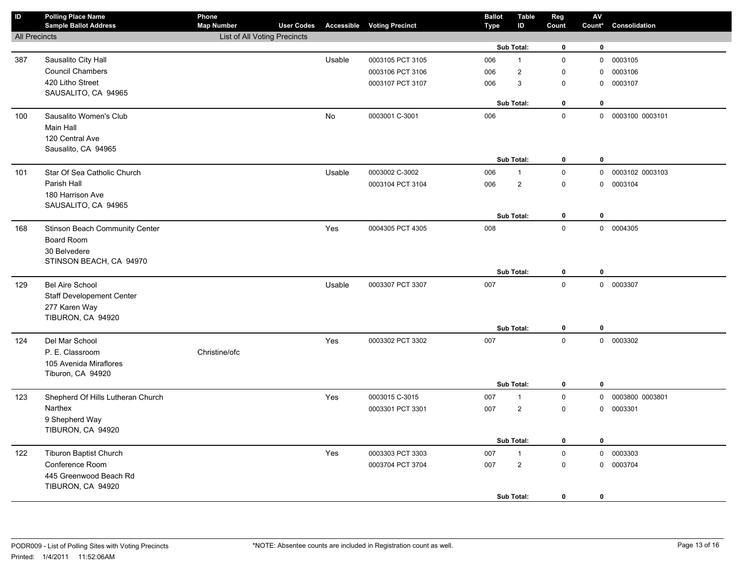| ID                   | <b>Polling Place Name</b><br><b>Sample Ballot Address</b> | Phone<br><b>Map Number</b>   | <b>User Codes</b> |        | <b>Accessible Voting Precinct</b> | <b>Ballot</b><br>Type | <b>Table</b><br>ID | Reg<br>Count | $\mathsf{AV}$<br>Count* | Consolidation   |
|----------------------|-----------------------------------------------------------|------------------------------|-------------------|--------|-----------------------------------|-----------------------|--------------------|--------------|-------------------------|-----------------|
| <b>All Precincts</b> |                                                           | List of All Voting Precincts |                   |        |                                   |                       |                    |              |                         |                 |
|                      |                                                           |                              |                   |        |                                   |                       | Sub Total:         | $\mathbf 0$  | $\mathbf 0$             |                 |
| 387                  | Sausalito City Hall                                       |                              |                   | Usable | 0003105 PCT 3105                  | 006                   | $\mathbf{1}$       | $\mathsf 0$  | $\mathbf 0$             | 0003105         |
|                      | <b>Council Chambers</b>                                   |                              |                   |        | 0003106 PCT 3106                  | 006                   | 2                  | $\mathbf 0$  | 0                       | 0003106         |
|                      | 420 Litho Street                                          |                              |                   |        | 0003107 PCT 3107                  | 006                   | 3                  | $\mathbf 0$  | $\mathbf{0}$            | 0003107         |
|                      | SAUSALITO, CA 94965                                       |                              |                   |        |                                   |                       |                    |              |                         |                 |
|                      |                                                           |                              |                   |        |                                   |                       | Sub Total:         | $\mathbf 0$  | $\mathbf 0$             |                 |
| 100                  | Sausalito Women's Club                                    |                              |                   | No     | 0003001 C-3001                    | 006                   |                    | $\mathbf 0$  | $\mathbf 0$             | 0003100 0003101 |
|                      | Main Hall                                                 |                              |                   |        |                                   |                       |                    |              |                         |                 |
|                      | 120 Central Ave                                           |                              |                   |        |                                   |                       |                    |              |                         |                 |
|                      | Sausalito, CA 94965                                       |                              |                   |        |                                   |                       |                    |              |                         |                 |
|                      |                                                           |                              |                   |        |                                   |                       | Sub Total:         | $\mathbf 0$  | $\bf{0}$                |                 |
| 101                  | Star Of Sea Catholic Church                               |                              |                   | Usable | 0003002 C-3002                    | 006                   | $\mathbf{1}$       | $\mathsf 0$  | $\mathbf 0$             | 0003102 0003103 |
|                      | Parish Hall                                               |                              |                   |        | 0003104 PCT 3104                  | 006                   | $\overline{2}$     | $\mathbf 0$  | $\mathbf 0$             | 0003104         |
|                      | 180 Harrison Ave                                          |                              |                   |        |                                   |                       |                    |              |                         |                 |
|                      | SAUSALITO, CA 94965                                       |                              |                   |        |                                   |                       |                    |              |                         |                 |
|                      |                                                           |                              |                   |        |                                   |                       | Sub Total:         | $\mathbf 0$  | $\bf{0}$                |                 |
| 168                  | Stinson Beach Community Center                            |                              |                   | Yes    | 0004305 PCT 4305                  | 008                   |                    | $\pmb{0}$    |                         | 0 0004305       |
|                      | Board Room                                                |                              |                   |        |                                   |                       |                    |              |                         |                 |
|                      | 30 Belvedere                                              |                              |                   |        |                                   |                       |                    |              |                         |                 |
|                      | STINSON BEACH, CA 94970                                   |                              |                   |        |                                   |                       | Sub Total:         | $\mathbf 0$  | $\bf{0}$                |                 |
|                      |                                                           |                              |                   |        |                                   | 007                   |                    | $\mathbf 0$  |                         | 0 0003307       |
| 129                  | <b>Bel Aire School</b>                                    |                              |                   | Usable | 0003307 PCT 3307                  |                       |                    |              |                         |                 |
|                      | <b>Staff Developement Center</b>                          |                              |                   |        |                                   |                       |                    |              |                         |                 |
|                      | 277 Karen Way<br>TIBURON, CA 94920                        |                              |                   |        |                                   |                       |                    |              |                         |                 |
|                      |                                                           |                              |                   |        |                                   |                       | Sub Total:         | $\mathbf 0$  | $\bf{0}$                |                 |
| 124                  | Del Mar School                                            |                              |                   | Yes    | 0003302 PCT 3302                  | 007                   |                    | $\mathbf 0$  |                         | 0 0003302       |
|                      | P. E. Classroom                                           | Christine/ofc                |                   |        |                                   |                       |                    |              |                         |                 |
|                      | 105 Avenida Miraflores                                    |                              |                   |        |                                   |                       |                    |              |                         |                 |
|                      | Tiburon, CA 94920                                         |                              |                   |        |                                   |                       |                    |              |                         |                 |
|                      |                                                           |                              |                   |        |                                   |                       | Sub Total:         | $\mathbf 0$  | $\mathbf 0$             |                 |
| 123                  | Shepherd Of Hills Lutheran Church                         |                              |                   | Yes    | 0003015 C-3015                    | 007                   | $\mathbf{1}$       | $\mathbf 0$  | 0                       | 0003800 0003801 |
|                      | Narthex                                                   |                              |                   |        | 0003301 PCT 3301                  | 007                   | $\overline{2}$     | $\mathbf 0$  | 0                       | 0003301         |
|                      | 9 Shepherd Way                                            |                              |                   |        |                                   |                       |                    |              |                         |                 |
|                      | TIBURON, CA 94920                                         |                              |                   |        |                                   |                       |                    |              |                         |                 |
|                      |                                                           |                              |                   |        |                                   |                       | Sub Total:         | $\mathbf 0$  | $\mathbf 0$             |                 |
| 122                  | <b>Tiburon Baptist Church</b>                             |                              |                   | Yes    | 0003303 PCT 3303                  | 007                   | $\mathbf{1}$       | $\mathsf 0$  |                         | 0 0003303       |
|                      | Conference Room                                           |                              |                   |        | 0003704 PCT 3704                  | 007                   | $\sqrt{2}$         | $\mathbf 0$  |                         | 0 0003704       |
|                      | 445 Greenwood Beach Rd                                    |                              |                   |        |                                   |                       |                    |              |                         |                 |
|                      | TIBURON, CA 94920                                         |                              |                   |        |                                   |                       |                    |              |                         |                 |
|                      |                                                           |                              |                   |        |                                   |                       | Sub Total:         | $\mathbf 0$  | $\mathbf 0$             |                 |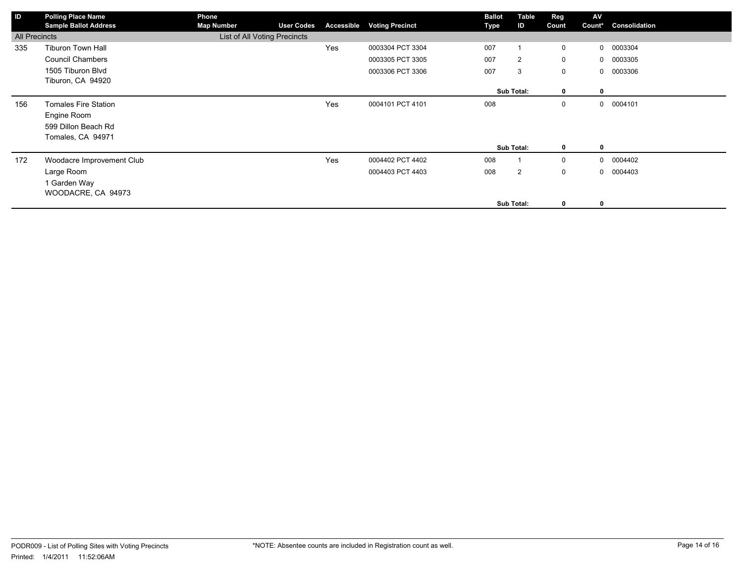| ID            | <b>Polling Place Name</b><br><b>Sample Ballot Address</b> | Phone<br><b>Map Number</b>   | <b>User Codes</b> | Accessible | <b>Voting Precinct</b> | <b>Ballot</b><br>Type | Table<br>ID    | Reg<br>Count | AV<br>Count* | Consolidation |
|---------------|-----------------------------------------------------------|------------------------------|-------------------|------------|------------------------|-----------------------|----------------|--------------|--------------|---------------|
| All Precincts |                                                           | List of All Voting Precincts |                   |            |                        |                       |                |              |              |               |
| 335           | Tiburon Town Hall                                         |                              |                   | Yes        | 0003304 PCT 3304       | 007                   |                | $\mathbf 0$  | $\mathbf{0}$ | 0003304       |
|               | <b>Council Chambers</b>                                   |                              |                   |            | 0003305 PCT 3305       | 007                   | $\overline{2}$ | $\mathbf 0$  |              | 0 0003305     |
|               | 1505 Tiburon Blvd                                         |                              |                   |            | 0003306 PCT 3306       | 007                   | 3              | $\mathbf 0$  |              | 0 0003306     |
|               | Tiburon, CA 94920                                         |                              |                   |            |                        |                       |                |              |              |               |
|               |                                                           |                              |                   |            |                        |                       | Sub Total:     | $\mathbf{0}$ | $\mathbf{0}$ |               |
| 156           | <b>Tomales Fire Station</b>                               |                              |                   | Yes        | 0004101 PCT 4101       | 008                   |                | 0            |              | 0 0004101     |
|               | Engine Room                                               |                              |                   |            |                        |                       |                |              |              |               |
|               | 599 Dillon Beach Rd                                       |                              |                   |            |                        |                       |                |              |              |               |
|               | Tomales, CA 94971                                         |                              |                   |            |                        |                       |                |              |              |               |
|               |                                                           |                              |                   |            |                        |                       | Sub Total:     | $\mathbf{0}$ | $\mathbf{0}$ |               |
| 172           | Woodacre Improvement Club                                 |                              |                   | Yes        | 0004402 PCT 4402       | 008                   |                | $\mathbf 0$  |              | 0 0004402     |
|               | Large Room                                                |                              |                   |            | 0004403 PCT 4403       | 008                   | $\overline{2}$ | $\mathbf 0$  | $\mathbf{0}$ | 0004403       |
|               | 1 Garden Way                                              |                              |                   |            |                        |                       |                |              |              |               |
|               | WOODACRE, CA 94973                                        |                              |                   |            |                        |                       |                |              |              |               |
|               |                                                           |                              |                   |            |                        |                       | Sub Total:     | $\mathbf 0$  | 0            |               |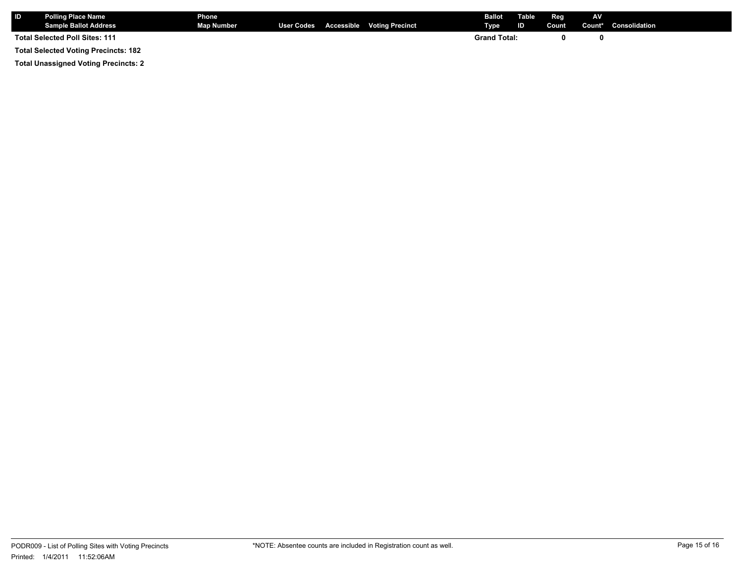| <b>IID</b> | <b>Polling Place Name</b><br><b>Sample Ballot Address</b> | <b>Phone</b><br><b>Map Number</b> |  | User Codes Accessible Voting Precinct | <b>Ballot</b> Table<br>Type | ID | Reg<br>Count | AV | Count* Consolidation |
|------------|-----------------------------------------------------------|-----------------------------------|--|---------------------------------------|-----------------------------|----|--------------|----|----------------------|
|            | <b>Total Selected Poll Sites: 111</b>                     |                                   |  |                                       | <b>Grand Total:</b>         |    |              |    |                      |
|            | <b>Total Selected Voting Precincts: 182</b>               |                                   |  |                                       |                             |    |              |    |                      |

**Total Unassigned Voting Precincts: 2**